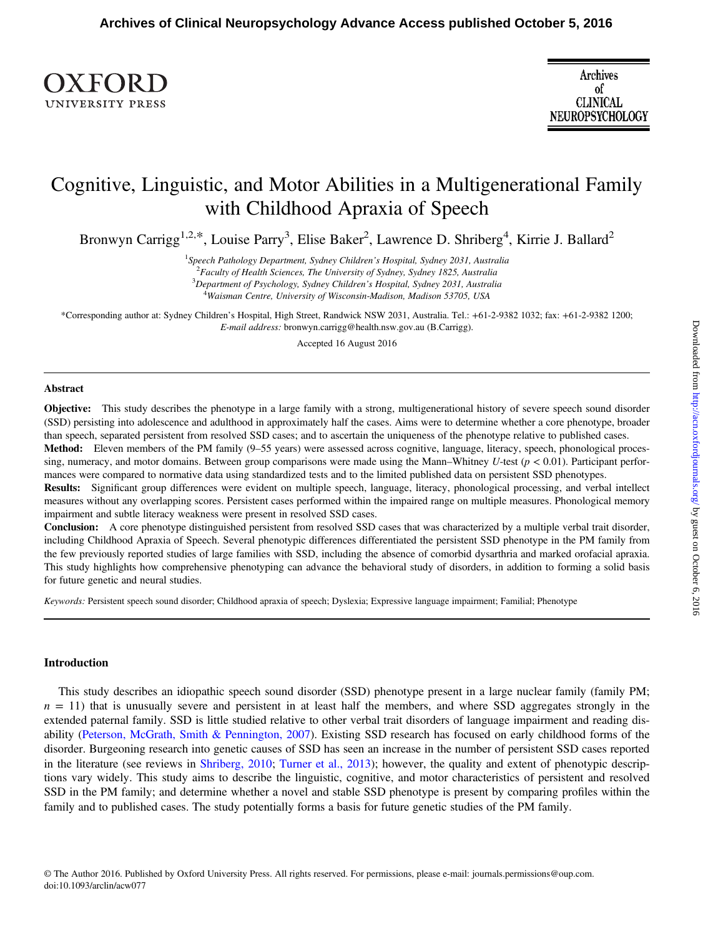

# Cognitive, Linguistic, and Motor Abilities in a Multigenerational Family with Childhood Apraxia of Speech

Bronwyn Carrigg<sup>1,2,\*</sup>, Louise Parry<sup>3</sup>, Elise Baker<sup>2</sup>, Lawrence D. Shriberg<sup>4</sup>, Kirrie J. Ballard<sup>2</sup>

<sup>1</sup>Speech Pathology Department, Sydney Children's Hospital, Sydney 2031, Australia

<sup>2</sup>Faculty of Health Sciences, The University of Sydney, Sydney 1825, Australia

<sup>3</sup>Department of Psychology, Sydney Children's Hospital, Sydney 2031, Australia

4 Waisman Centre, University of Wisconsin-Madison, Madison 53705, USA

\*Corresponding author at: Sydney Children's Hospital, High Street, Randwick NSW 2031, Australia. Tel.: +61-2-9382 1032; fax: +61-2-9382 1200; E-mail address: bronwyn.carrigg@health.nsw.gov.au (B.Carrigg).

Accepted 16 August 2016

### Abstract

Objective: This study describes the phenotype in a large family with a strong, multigenerational history of severe speech sound disorder (SSD) persisting into adolescence and adulthood in approximately half the cases. Aims were to determine whether a core phenotype, broader than speech, separated persistent from resolved SSD cases; and to ascertain the uniqueness of the phenotype relative to published cases.

Method: Eleven members of the PM family (9–55 years) were assessed across cognitive, language, literacy, speech, phonological processing, numeracy, and motor domains. Between group comparisons were made using the Mann–Whitney U-test ( $p < 0.01$ ). Participant performances were compared to normative data using standardized tests and to the limited published data on persistent SSD phenotypes.

Results: Significant group differences were evident on multiple speech, language, literacy, phonological processing, and verbal intellect measures without any overlapping scores. Persistent cases performed within the impaired range on multiple measures. Phonological memory impairment and subtle literacy weakness were present in resolved SSD cases.

Conclusion: A core phenotype distinguished persistent from resolved SSD cases that was characterized by a multiple verbal trait disorder, including Childhood Apraxia of Speech. Several phenotypic differences differentiated the persistent SSD phenotype in the PM family from the few previously reported studies of large families with SSD, including the absence of comorbid dysarthria and marked orofacial apraxia. This study highlights how comprehensive phenotyping can advance the behavioral study of disorders, in addition to forming a solid basis for future genetic and neural studies.

Keywords: Persistent speech sound disorder; Childhood apraxia of speech; Dyslexia; Expressive language impairment; Familial; Phenotype

## Introduction

This study describes an idiopathic speech sound disorder (SSD) phenotype present in a large nuclear family (family PM;  $n = 11$ ) that is unusually severe and persistent in at least half the members, and where SSD aggregates strongly in the extended paternal family. SSD is little studied relative to other verbal trait disorders of language impairment and reading disability ([Peterson, McGrath, Smith & Pennington, 2007](#page-18-0)). Existing SSD research has focused on early childhood forms of the disorder. Burgeoning research into genetic causes of SSD has seen an increase in the number of persistent SSD cases reported in the literature (see reviews in [Shriberg, 2010](#page-18-0); [Turner et al., 2013\)](#page-19-0); however, the quality and extent of phenotypic descriptions vary widely. This study aims to describe the linguistic, cognitive, and motor characteristics of persistent and resolved SSD in the PM family; and determine whether a novel and stable SSD phenotype is present by comparing profiles within the family and to published cases. The study potentially forms a basis for future genetic studies of the PM family.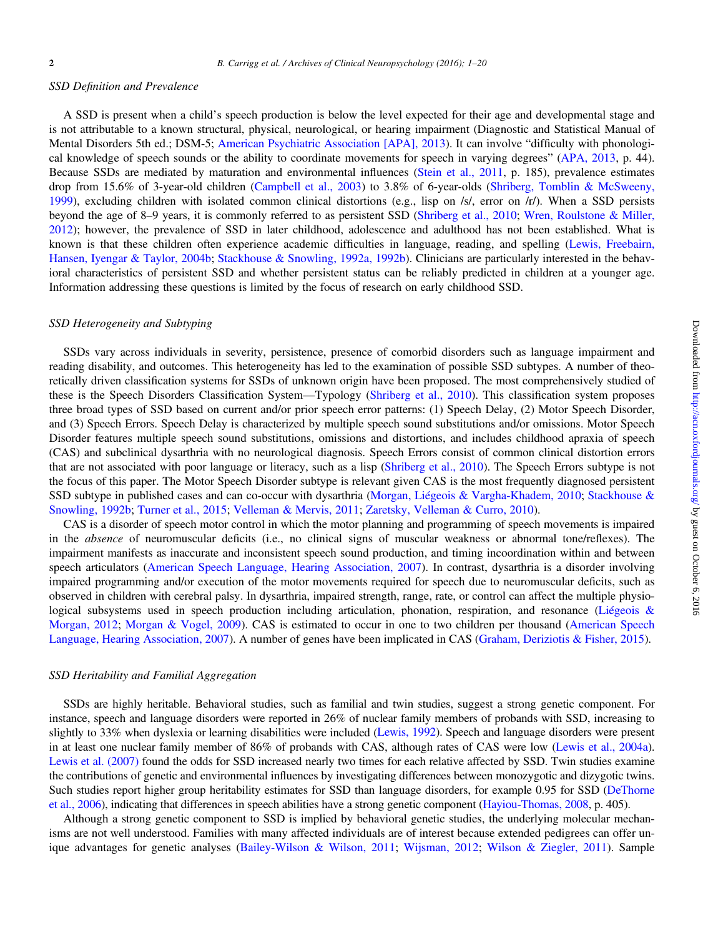# SSD Definition and Prevalence

A SSD is present when a child's speech production is below the level expected for their age and developmental stage and is not attributable to a known structural, physical, neurological, or hearing impairment (Diagnostic and Statistical Manual of Mental Disorders 5th ed.; DSM-5; [American Psychiatric Association \[APA\], 2013](#page-17-0)). It can involve "difficulty with phonological knowledge of speech sounds or the ability to coordinate movements for speech in varying degrees" ([APA, 2013](#page-17-0), p. 44). Because SSDs are mediated by maturation and environmental influences ([Stein et al., 2011](#page-19-0), p. 185), prevalence estimates drop from 15.6% of 3-year-old children ([Campbell et al., 2003](#page-17-0)) to 3.8% of 6-year-olds ([Shriberg, Tomblin & McSweeny,](#page-19-0) [1999](#page-19-0)), excluding children with isolated common clinical distortions (e.g., lisp on /s/, error on /r/). When a SSD persists beyond the age of 8–9 years, it is commonly referred to as persistent SSD ([Shriberg et al., 2010;](#page-19-0) [Wren, Roulstone & Miller,](#page-19-0) [2012](#page-19-0)); however, the prevalence of SSD in later childhood, adolescence and adulthood has not been established. What is known is that these children often experience academic difficulties in language, reading, and spelling [\(Lewis, Freebairn,](#page-18-0) Hansen, Iyengar [& Taylor, 2004b](#page-18-0); [Stackhouse & Snowling, 1992a, 1992b\)](#page-19-0). Clinicians are particularly interested in the behavioral characteristics of persistent SSD and whether persistent status can be reliably predicted in children at a younger age. Information addressing these questions is limited by the focus of research on early childhood SSD.

## SSD Heterogeneity and Subtyping

SSDs vary across individuals in severity, persistence, presence of comorbid disorders such as language impairment and reading disability, and outcomes. This heterogeneity has led to the examination of possible SSD subtypes. A number of theoretically driven classification systems for SSDs of unknown origin have been proposed. The most comprehensively studied of these is the Speech Disorders Classification System—Typology [\(Shriberg et al., 2010\)](#page-19-0). This classification system proposes three broad types of SSD based on current and/or prior speech error patterns: (1) Speech Delay, (2) Motor Speech Disorder, and (3) Speech Errors. Speech Delay is characterized by multiple speech sound substitutions and/or omissions. Motor Speech Disorder features multiple speech sound substitutions, omissions and distortions, and includes childhood apraxia of speech (CAS) and subclinical dysarthria with no neurological diagnosis. Speech Errors consist of common clinical distortion errors that are not associated with poor language or literacy, such as a lisp [\(Shriberg et al., 2010\)](#page-19-0). The Speech Errors subtype is not the focus of this paper. The Motor Speech Disorder subtype is relevant given CAS is the most frequently diagnosed persistent SSD subtype in published cases and can co-occur with dysarthria ([Morgan, Liégeois & Vargha-Khadem, 2010;](#page-18-0) [Stackhouse &](#page-19-0) [Snowling, 1992b](#page-19-0); [Turner et al., 2015;](#page-19-0) [Velleman & Mervis, 2011](#page-19-0); [Zaretsky, Velleman & Curro, 2010\)](#page-19-0).

CAS is a disorder of speech motor control in which the motor planning and programming of speech movements is impaired in the *absence* of neuromuscular deficits (i.e., no clinical signs of muscular weakness or abnormal tone/reflexes). The impairment manifests as inaccurate and inconsistent speech sound production, and timing incoordination within and between speech articulators ([American Speech Language, Hearing Association, 2007](#page-17-0)). In contrast, dysarthria is a disorder involving impaired programming and/or execution of the motor movements required for speech due to neuromuscular deficits, such as observed in children with cerebral palsy. In dysarthria, impaired strength, range, rate, or control can affect the multiple physio-logical subsystems used in speech production including articulation, phonation, respiration, and resonance [\(Liégeois &](#page-18-0) [Morgan,](#page-18-0) 2012; [Morgan & Vogel, 2009](#page-18-0)). CAS is estimated to occur in one to two children per thousand ([American Speech](#page-17-0) Language, [Hearing Association, 2007](#page-17-0)). A number of genes have been implicated in CAS [\(Graham, Deriziotis & Fisher, 2015](#page-17-0)).

## SSD Heritability and Familial Aggregation

SSDs are highly heritable. Behavioral studies, such as familial and twin studies, suggest a strong genetic component. For instance, speech and language disorders were reported in 26% of nuclear family members of probands with SSD, increasing to slightly to 33% when dyslexia or learning disabilities were included [\(Lewis, 1992](#page-17-0)). Speech and language disorders were present in at least one nuclear family member of 86% of probands with CAS, although rates of CAS were low [\(Lewis et al., 2004a](#page-18-0)). [Lewis et al. \(2007\)](#page-18-0) found the odds for SSD increased nearly two times for each relative affected by SSD. Twin studies examine the contributions of genetic and environmental influences by investigating differences between monozygotic and dizygotic twins. Such studies report higher group heritability estimates for SSD than language disorders, for example 0.95 for SSD [\(DeThorne](#page-17-0) [et al., 2006\)](#page-17-0), indicating that differences in speech abilities have a strong genetic component [\(Hayiou-Thomas, 2008,](#page-17-0) p. 405).

Although a strong genetic component to SSD is implied by behavioral genetic studies, the underlying molecular mechanisms are not well understood. Families with many affected individuals are of interest because extended pedigrees can offer unique advantages for genetic analyses ([Bailey-Wilson & Wilson, 2011](#page-17-0); [Wijsman, 2012;](#page-19-0) [Wilson & Ziegler, 2011](#page-19-0)). Sample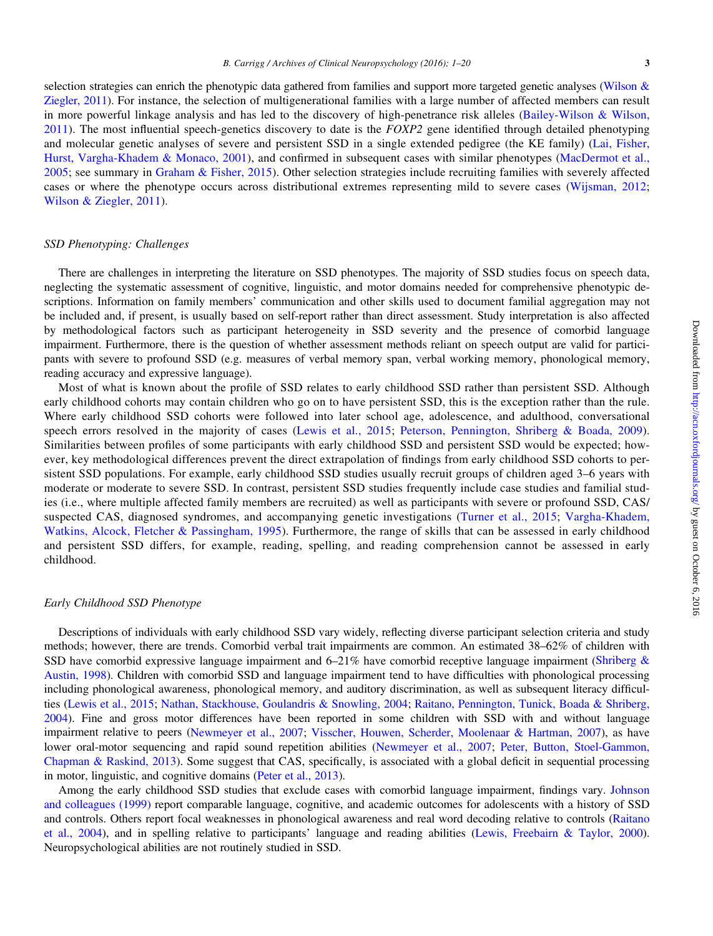selection strategies can enrich the phenotypic data gathered from families and support more targeted genetic analyses [\(Wilson &](#page-19-0) [Ziegler, 2011\)](#page-19-0). For instance, the selection of multigenerational families with a large number of affected members can result in more powerful linkage analysis and has led to the discovery of high-penetrance risk alleles ([Bailey-Wilson & Wilson,](#page-17-0)  $2011$ ). The most influential speech-genetics discovery to date is the  $FOXP2$  gene identified through detailed phenotyping and molecular genetic analyses of severe and persistent SSD in a single extended pedigree (the KE family) [\(Lai, Fisher,](#page-17-0) [Hurst, Vargha-Khadem](#page-17-0) & Monaco, 2001), and confirmed in subsequent cases with similar phenotypes ([MacDermot et al.,](#page-18-0) [2005](#page-18-0); see summary in [Graham & Fisher, 2015\)](#page-17-0). Other selection strategies include recruiting families with severely affected cases or where the phenotype occurs across distributional extremes representing mild to severe cases [\(Wijsman, 2012](#page-19-0); [Wilson & Ziegler, 2011](#page-19-0)).

# SSD Phenotyping: Challenges

There are challenges in interpreting the literature on SSD phenotypes. The majority of SSD studies focus on speech data, neglecting the systematic assessment of cognitive, linguistic, and motor domains needed for comprehensive phenotypic descriptions. Information on family members' communication and other skills used to document familial aggregation may not be included and, if present, is usually based on self-report rather than direct assessment. Study interpretation is also affected by methodological factors such as participant heterogeneity in SSD severity and the presence of comorbid language impairment. Furthermore, there is the question of whether assessment methods reliant on speech output are valid for participants with severe to profound SSD (e.g. measures of verbal memory span, verbal working memory, phonological memory, reading accuracy and expressive language).

Most of what is known about the profile of SSD relates to early childhood SSD rather than persistent SSD. Although early childhood cohorts may contain children who go on to have persistent SSD, this is the exception rather than the rule. Where early childhood SSD cohorts were followed into later school age, adolescence, and adulthood, conversational speech errors resolved in the majority of cases ([Lewis et al., 2015](#page-18-0); [Peterson, Pennington, Shriberg & Boada, 2009\)](#page-18-0). Similarities between profiles of some participants with early childhood SSD and persistent SSD would be expected; however, key methodological differences prevent the direct extrapolation of findings from early childhood SSD cohorts to persistent SSD populations. For example, early childhood SSD studies usually recruit groups of children aged 3–6 years with moderate or moderate to severe SSD. In contrast, persistent SSD studies frequently include case studies and familial studies (i.e., where multiple affected family members are recruited) as well as participants with severe or profound SSD, CAS/ suspected CAS, diagnosed syndromes, and accompanying genetic investigations ([Turner et al., 2015](#page-19-0); [Vargha-Khadem,](#page-19-0) Watkins, Alcock, [Fletcher & Passingham, 1995](#page-19-0)). Furthermore, the range of skills that can be assessed in early childhood and persistent SSD differs, for example, reading, spelling, and reading comprehension cannot be assessed in early childhood.

#### Early Childhood SSD Phenotype

Descriptions of individuals with early childhood SSD vary widely, reflecting diverse participant selection criteria and study methods; however, there are trends. Comorbid verbal trait impairments are common. An estimated 38–62% of children with SSD have comorbid expressive language impairment and 6–21% have comorbid receptive language impairment ([Shriberg &](#page-18-0) [Austin, 1998](#page-18-0)). Children with comorbid SSD and language impairment tend to have difficulties with phonological processing including phonological awareness, phonological memory, and auditory discrimination, as well as subsequent literacy difficulties ([Lewis et al., 2015;](#page-18-0) [Nathan, Stackhouse, Goulandris & Snowling, 2004;](#page-18-0) [Raitano, Pennington, Tunick, Boada & Shriberg,](#page-18-0) [2004\)](#page-18-0). Fine and gross motor differences have been reported in some children with SSD with and without language impairment relative to peers [\(Newmeyer et al., 2007;](#page-18-0) [Visscher, Houwen, Scherder, Moolenaar & Hartman, 2007](#page-19-0)), as have lower oral-motor sequencing and rapid sound repetition abilities [\(Newmeyer et al., 2007;](#page-18-0) [Peter, Button, Stoel-Gammon,](#page-18-0) Chapman & [Raskind, 2013](#page-18-0)). Some suggest that CAS, specifically, is associated with a global deficit in sequential processing in motor, linguistic, and cognitive domains ([Peter et al., 2013\)](#page-18-0).

Among the early childhood SSD studies that exclude cases with comorbid language impairment, findings vary. [Johnson](#page-17-0) [and colleagues \(1999\)](#page-17-0) report comparable language, cognitive, and academic outcomes for adolescents with a history of SSD and controls. Others report focal weaknesses in phonological awareness and real word decoding relative to controls ([Raitano](#page-18-0) [et al.,](#page-18-0) 2004), and in spelling relative to participants' language and reading abilities [\(Lewis, Freebairn & Taylor, 2000](#page-18-0)). Neuropsychological abilities are not routinely studied in SSD.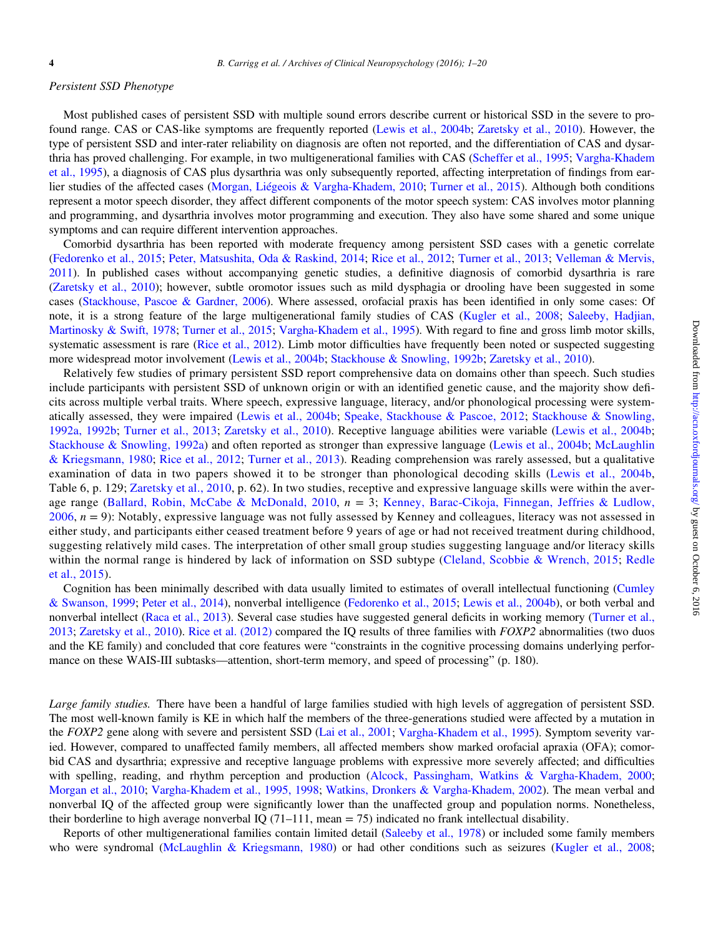#### Persistent SSD Phenotype

Most published cases of persistent SSD with multiple sound errors describe current or historical SSD in the severe to profound range. CAS or CAS-like symptoms are frequently reported [\(Lewis et al., 2004b](#page-18-0); [Zaretsky et al., 2010](#page-19-0)). However, the type of persistent SSD and inter-rater reliability on diagnosis are often not reported, and the differentiation of CAS and dysarthria has proved challenging. For example, in two multigenerational families with CAS ([Scheffer et al., 1995](#page-18-0); [Vargha-Khadem](#page-19-0) [et al.,](#page-19-0) 1995), a diagnosis of CAS plus dysarthria was only subsequently reported, affecting interpretation of findings from earlier studies of the affected cases ([Morgan, Liégeois & Vargha-Khadem, 2010;](#page-18-0) [Turner et al., 2015](#page-19-0)). Although both conditions represent a motor speech disorder, they affect different components of the motor speech system: CAS involves motor planning and programming, and dysarthria involves motor programming and execution. They also have some shared and some unique symptoms and can require different intervention approaches.

Comorbid dysarthria has been reported with moderate frequency among persistent SSD cases with a genetic correlate [\(Fedorenko et al., 2015](#page-17-0); [Peter, Matsushita, Oda & Raskind, 2014;](#page-18-0) [Rice et al., 2012](#page-18-0); [Turner et al., 2013](#page-19-0); [Velleman & Mervis,](#page-19-0) [2011](#page-19-0)). In published cases without accompanying genetic studies, a definitive diagnosis of comorbid dysarthria is rare [\(Zaretsky et al., 2010\)](#page-19-0); however, subtle oromotor issues such as mild dysphagia or drooling have been suggested in some cases ([Stackhouse, Pascoe & Gardner, 2006\)](#page-19-0). Where assessed, orofacial praxis has been identified in only some cases: Of note, it is a strong feature of the large multigenerational family studies of CAS ([Kugler et al., 2008](#page-17-0); [Saleeby, Hadjian,](#page-18-0) [Martinosky &](#page-18-0) Swift, 1978; [Turner et al., 2015](#page-19-0); [Vargha-Khadem et al., 1995](#page-19-0)). With regard to fine and gross limb motor skills, systematic assessment is rare ([Rice et al., 2012\)](#page-18-0). Limb motor difficulties have frequently been noted or suspected suggesting more widespread motor involvement [\(Lewis et al., 2004b;](#page-18-0) [Stackhouse & Snowling, 1992b;](#page-19-0) [Zaretsky et al., 2010](#page-19-0)).

Relatively few studies of primary persistent SSD report comprehensive data on domains other than speech. Such studies include participants with persistent SSD of unknown origin or with an identified genetic cause, and the majority show deficits across multiple verbal traits. Where speech, expressive language, literacy, and/or phonological processing were systematically assessed, they were impaired [\(Lewis et al., 2004b](#page-18-0); [Speake, Stackhouse & Pascoe, 2012](#page-19-0); [Stackhouse & Snowling,](#page-19-0) [1992a, 1992b](#page-19-0); [Turner et al., 2013](#page-19-0); [Zaretsky et al., 2010](#page-19-0)). Receptive language abilities were variable [\(Lewis et al., 2004b](#page-18-0); [Stackhouse & Snowling, 1992a\)](#page-19-0) and often reported as stronger than expressive language [\(Lewis et al., 2004b](#page-18-0); [McLaughlin](#page-18-0) [& Kriegsmann, 1980](#page-18-0); [Rice et al., 2012](#page-18-0); [Turner et al., 2013](#page-19-0)). Reading comprehension was rarely assessed, but a qualitative examination of data in two papers showed it to be stronger than phonological decoding skills ([Lewis et al., 2004b](#page-18-0), Table 6, p. 129; [Zaretsky et al., 2010](#page-19-0), p. 62). In two studies, receptive and expressive language skills were within the aver-age range ([Ballard, Robin, McCabe & McDonald, 2010](#page-17-0),  $n = 3$ ; [Kenney, Barac-Cikoja, Finnegan, Jeffries & Ludlow,](#page-17-0)  $2006$ ,  $n = 9$ ): Notably, expressive language was not fully assessed by Kenney and colleagues, literacy was not assessed in either study, and participants either ceased treatment before 9 years of age or had not received treatment during childhood, suggesting relatively mild cases. The interpretation of other small group studies suggesting language and/or literacy skills within the normal range is hindered by lack of information on SSD subtype ([Cleland, Scobbie & Wrench, 2015;](#page-17-0) [Redle](#page-18-0) [et al., 2015](#page-18-0)).

Cognition has been minimally described with data usually limited to estimates of overall intellectual functioning ([Cumley](#page-17-0) [& Swanson, 1999](#page-17-0); [Peter et al., 2014](#page-18-0)), nonverbal intelligence ([Fedorenko et al., 2015](#page-17-0); [Lewis et al., 2004b](#page-18-0)), or both verbal and nonverbal intellect ([Raca et al., 2013\)](#page-18-0). Several case studies have suggested general deficits in working memory ([Turner et al.,](#page-19-0) [2013](#page-19-0); [Zaretsky et al., 2010\)](#page-19-0). [Rice et al. \(2012\)](#page-18-0) compared the IQ results of three families with FOXP2 abnormalities (two duos and the KE family) and concluded that core features were "constraints in the cognitive processing domains underlying performance on these WAIS-III subtasks—attention, short-term memory, and speed of processing" (p. 180).

Large family studies. There have been a handful of large families studied with high levels of aggregation of persistent SSD. The most well-known family is KE in which half the members of the three-generations studied were affected by a mutation in the FOXP2 gene along with severe and persistent SSD ([Lai et al., 2001](#page-17-0); [Vargha-Khadem et al., 1995\)](#page-19-0). Symptom severity varied. However, compared to unaffected family members, all affected members show marked orofacial apraxia (OFA); comorbid CAS and dysarthria; expressive and receptive language problems with expressive more severely affected; and difficulties with spelling, reading, and rhythm perception and production [\(Alcock, Passingham, Watkins & Vargha-Khadem, 2000](#page-17-0); [Morgan et al., 2010;](#page-18-0) [Vargha-Khadem et al., 1995, 1998](#page-19-0); [Watkins, Dronkers & Vargha-Khadem, 2002](#page-19-0)). The mean verbal and nonverbal IQ of the affected group were significantly lower than the unaffected group and population norms. Nonetheless, their borderline to high average nonverbal IQ (71–111, mean  $= 75$ ) indicated no frank intellectual disability.

Reports of other multigenerational families contain limited detail ([Saleeby et al., 1978](#page-18-0)) or included some family members who were syndromal [\(McLaughlin & Kriegsmann, 1980\)](#page-18-0) or had other conditions such as seizures ([Kugler et al., 2008](#page-17-0);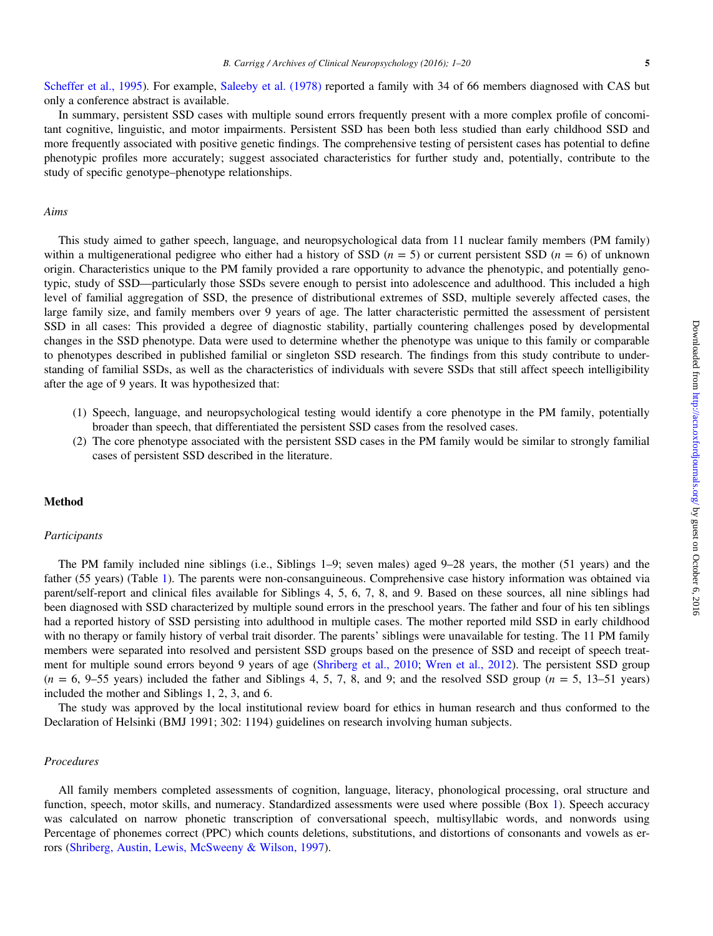[Scheffer et al., 1995](#page-18-0)). For example, [Saleeby et al. \(1978\)](#page-18-0) reported a family with 34 of 66 members diagnosed with CAS but only a conference abstract is available.

In summary, persistent SSD cases with multiple sound errors frequently present with a more complex profile of concomitant cognitive, linguistic, and motor impairments. Persistent SSD has been both less studied than early childhood SSD and more frequently associated with positive genetic findings. The comprehensive testing of persistent cases has potential to define phenotypic profiles more accurately; suggest associated characteristics for further study and, potentially, contribute to the study of specific genotype–phenotype relationships.

#### Aims

This study aimed to gather speech, language, and neuropsychological data from 11 nuclear family members (PM family) within a multigenerational pedigree who either had a history of SSD ( $n = 5$ ) or current persistent SSD ( $n = 6$ ) of unknown origin. Characteristics unique to the PM family provided a rare opportunity to advance the phenotypic, and potentially genotypic, study of SSD—particularly those SSDs severe enough to persist into adolescence and adulthood. This included a high level of familial aggregation of SSD, the presence of distributional extremes of SSD, multiple severely affected cases, the large family size, and family members over 9 years of age. The latter characteristic permitted the assessment of persistent SSD in all cases: This provided a degree of diagnostic stability, partially countering challenges posed by developmental changes in the SSD phenotype. Data were used to determine whether the phenotype was unique to this family or comparable to phenotypes described in published familial or singleton SSD research. The findings from this study contribute to understanding of familial SSDs, as well as the characteristics of individuals with severe SSDs that still affect speech intelligibility after the age of 9 years. It was hypothesized that:

- (1) Speech, language, and neuropsychological testing would identify a core phenotype in the PM family, potentially broader than speech, that differentiated the persistent SSD cases from the resolved cases.
- (2) The core phenotype associated with the persistent SSD cases in the PM family would be similar to strongly familial cases of persistent SSD described in the literature.

#### Method

#### Participants

The PM family included nine siblings (i.e., Siblings 1–9; seven males) aged 9–28 years, the mother (51 years) and the father (55 years) (Table [1](#page-5-0)). The parents were non-consanguineous. Comprehensive case history information was obtained via parent/self-report and clinical files available for Siblings 4, 5, 6, 7, 8, and 9. Based on these sources, all nine siblings had been diagnosed with SSD characterized by multiple sound errors in the preschool years. The father and four of his ten siblings had a reported history of SSD persisting into adulthood in multiple cases. The mother reported mild SSD in early childhood with no therapy or family history of verbal trait disorder. The parents' siblings were unavailable for testing. The 11 PM family members were separated into resolved and persistent SSD groups based on the presence of SSD and receipt of speech treatment for multiple sound errors beyond 9 years of age ([Shriberg et al., 2010](#page-19-0); [Wren et al., 2012\)](#page-19-0). The persistent SSD group  $(n = 6, 9-55$  years) included the father and Siblings 4, 5, 7, 8, and 9; and the resolved SSD group  $(n = 5, 13-51$  years) included the mother and Siblings 1, 2, 3, and 6.

The study was approved by the local institutional review board for ethics in human research and thus conformed to the Declaration of Helsinki (BMJ 1991; 302: 1194) guidelines on research involving human subjects.

# Procedures

All family members completed assessments of cognition, language, literacy, phonological processing, oral structure and function, speech, motor skills, and numeracy. Standardized assessments were used where possible (Box [1\)](#page-6-0). Speech accuracy was calculated on narrow phonetic transcription of conversational speech, multisyllabic words, and nonwords using Percentage of phonemes correct (PPC) which counts deletions, substitutions, and distortions of consonants and vowels as errors [\(Shriberg, Austin, Lewis, McSweeny & Wilson, 1997\)](#page-19-0).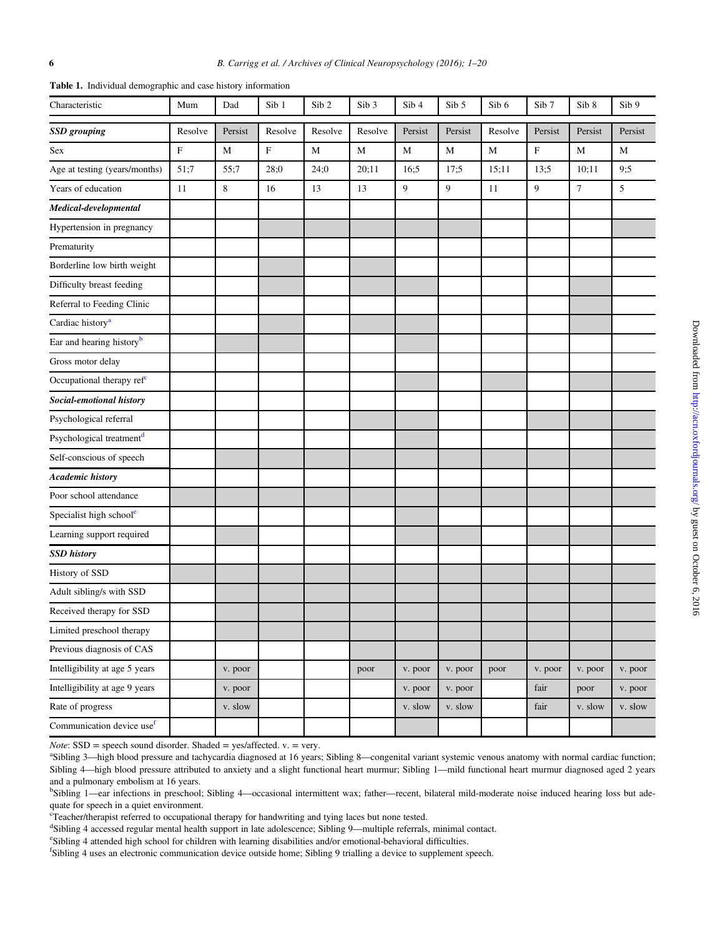| Characteristic                        | Mum         | Dad     | Sib 1       | Sib <sub>2</sub> | Sib <sub>3</sub> | Sib 4          | Sib <sub>5</sub> | Sib 6   | Sib 7       | Sib 8   | Sib 9          |
|---------------------------------------|-------------|---------|-------------|------------------|------------------|----------------|------------------|---------|-------------|---------|----------------|
| <b>SSD</b> grouping                   | Resolve     | Persist | Resolve     | Resolve          | Resolve          | Persist        | Persist          | Resolve | Persist     | Persist | Persist        |
| Sex                                   | $\mathbf F$ | M       | $\mathbf F$ | M                | М                | M              | $\mathbf M$      | M       | $\mathbf F$ | M       | M              |
| Age at testing (years/months)         | 51;7        | 55:7    | 28;0        | 24;0             | 20;11            | 16;5           | 17:5             | 15;11   | 13:5        | 10;11   | 9:5            |
| Years of education                    | 11          | 8       | 16          | 13               | 13               | $\overline{9}$ | 9                | 11      | 9           | $\tau$  | $\mathfrak{S}$ |
| Medical-developmental                 |             |         |             |                  |                  |                |                  |         |             |         |                |
| Hypertension in pregnancy             |             |         |             |                  |                  |                |                  |         |             |         |                |
| Prematurity                           |             |         |             |                  |                  |                |                  |         |             |         |                |
| Borderline low birth weight           |             |         |             |                  |                  |                |                  |         |             |         |                |
| Difficulty breast feeding             |             |         |             |                  |                  |                |                  |         |             |         |                |
| Referral to Feeding Clinic            |             |         |             |                  |                  |                |                  |         |             |         |                |
| Cardiac history <sup>a</sup>          |             |         |             |                  |                  |                |                  |         |             |         |                |
| Ear and hearing history <sup>b</sup>  |             |         |             |                  |                  |                |                  |         |             |         |                |
| Gross motor delay                     |             |         |             |                  |                  |                |                  |         |             |         |                |
| Occupational therapy ref <sup>c</sup> |             |         |             |                  |                  |                |                  |         |             |         |                |
| Social-emotional history              |             |         |             |                  |                  |                |                  |         |             |         |                |
| Psychological referral                |             |         |             |                  |                  |                |                  |         |             |         |                |
| Psychological treatment <sup>d</sup>  |             |         |             |                  |                  |                |                  |         |             |         |                |
| Self-conscious of speech              |             |         |             |                  |                  |                |                  |         |             |         |                |
| <b>Academic history</b>               |             |         |             |                  |                  |                |                  |         |             |         |                |
| Poor school attendance                |             |         |             |                  |                  |                |                  |         |             |         |                |
| Specialist high school <sup>e</sup>   |             |         |             |                  |                  |                |                  |         |             |         |                |
| Learning support required             |             |         |             |                  |                  |                |                  |         |             |         |                |
| <b>SSD</b> history                    |             |         |             |                  |                  |                |                  |         |             |         |                |
| <b>History of SSD</b>                 |             |         |             |                  |                  |                |                  |         |             |         |                |
| Adult sibling/s with SSD              |             |         |             |                  |                  |                |                  |         |             |         |                |
| Received therapy for SSD              |             |         |             |                  |                  |                |                  |         |             |         |                |
| Limited preschool therapy             |             |         |             |                  |                  |                |                  |         |             |         |                |
| Previous diagnosis of CAS             |             |         |             |                  |                  |                |                  |         |             |         |                |
| Intelligibility at age 5 years        |             | v. poor |             |                  | poor             | v. poor        | v. poor          | poor    | v. poor     | v. poor | v. poor        |
| Intelligibility at age 9 years        |             | v. poor |             |                  |                  | v. poor        | v. poor          |         | fair        | poor    | v. poor        |
| Rate of progress                      |             | v. slow |             |                  |                  | v. slow        | v. slow          |         | fair        | v. slow | v. slow        |
| Communication device use <sup>f</sup> |             |         |             |                  |                  |                |                  |         |             |         |                |

<span id="page-5-0"></span>Table 1. Individual demographic and case history information

*Note*:  $SSD$  = speech sound disorder. Shaded = yes/affected.  $v = \text{very.}$ 

<sup>c</sup>Teacher/therapist referred to occupational therapy for handwriting and tying laces but none tested.

<sup>e</sup>Sibling 4 attended high school for children with learning disabilities and/or emotional-behavioral difficulties.

Sibling 3—high blood pressure and tachycardia diagnosed at 16 years; Sibling 8—congenital variant systemic venous anatomy with normal cardiac function; Sibling 4—high blood pressure attributed to anxiety and a slight functional heart murmur; Sibling 1—mild functional heart murmur diagnosed aged 2 years and a pulmonary embolism at 16 years.

b Sibling 1—ear infections in preschool; Sibling 4—occasional intermittent wax; father—recent, bilateral mild-moderate noise induced hearing loss but adequate for speech in a quiet environment.

<sup>&</sup>lt;sup>d</sup>Sibling 4 accessed regular mental health support in late adolescence; Sibling 9—multiple referrals, minimal contact.  $e^{i\theta}$  exibling 4 attended high school for children with learning disphilities and/or emotional beh

Sibling 4 uses an electronic communication device outside home; Sibling 9 trialling a device to supplement speech.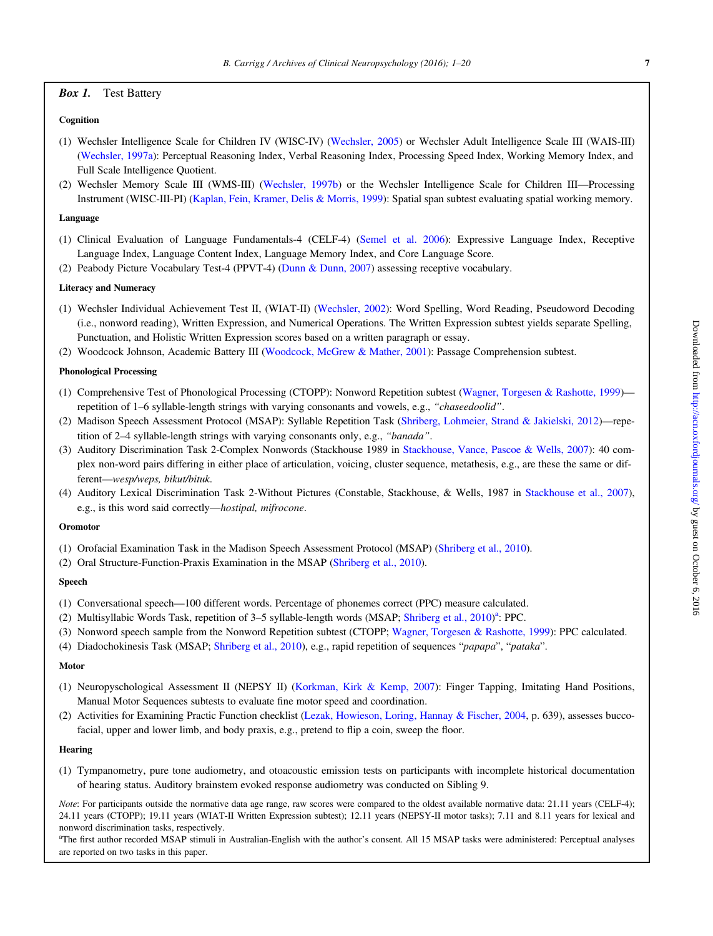# <span id="page-6-0"></span>**Box 1.** Test Battery

## Cognition

- (1) Wechsler Intelligence Scale for Children IV (WISC-IV) [\(Wechsler, 2005](#page-19-0)) or Wechsler Adult Intelligence Scale III (WAIS-III) ([Wechsler, 1997a\)](#page-19-0): Perceptual Reasoning Index, Verbal Reasoning Index, Processing Speed Index, Working Memory Index, and Full Scale Intelligence Quotient.
- (2) Wechsler Memory Scale III (WMS-III) ([Wechsler, 1997b](#page-19-0)) or the Wechsler Intelligence Scale for Children III—Processing Instrument (WISC-III-PI) [\(Kaplan, Fein, Kramer, Delis & Morris, 1999\)](#page-17-0): Spatial span subtest evaluating spatial working memory.

#### Language

- (1) Clinical Evaluation of Language Fundamentals-4 (CELF-4) ([Semel et al. 2006\)](#page-18-0): Expressive Language Index, Receptive Language Index, Language Content Index, Language Memory Index, and Core Language Score.
- (2) Peabody Picture Vocabulary Test-4 (PPVT-4) [\(Dunn & Dunn, 2007\)](#page-17-0) assessing receptive vocabulary.

## Literacy and Numeracy

- (1) Wechsler Individual Achievement Test II, (WIAT-II) [\(Wechsler, 2002](#page-19-0)): Word Spelling, Word Reading, Pseudoword Decoding (i.e., nonword reading), Written Expression, and Numerical Operations. The Written Expression subtest yields separate Spelling, Punctuation, and Holistic Written Expression scores based on a written paragraph or essay.
- (2) Woodcock Johnson, Academic Battery III [\(Woodcock, McGrew & Mather, 2001](#page-19-0)): Passage Comprehension subtest.

## Phonological Processing

- (1) Comprehensive Test of Phonological Processing (CTOPP): Nonword Repetition subtest [\(Wagner, Torgesen & Rashotte, 1999](#page-19-0)) repetition of 1–6 syllable-length strings with varying consonants and vowels, e.g., "chaseedoolid".
- (2) Madison Speech Assessment Protocol (MSAP): Syllable Repetition Task [\(Shriberg, Lohmeier, Strand & Jakielski, 2012](#page-19-0))—repetition of 2–4 syllable-length strings with varying consonants only, e.g., "banada".
- (3) Auditory Discrimination Task 2-Complex Nonwords (Stackhouse 1989 in [Stackhouse, Vance, Pascoe & Wells, 2007\)](#page-19-0): 40 complex non-word pairs differing in either place of articulation, voicing, cluster sequence, metathesis, e.g., are these the same or different—wesp/weps, bikut/bituk.
- (4) Auditory Lexical Discrimination Task 2-Without Pictures (Constable, Stackhouse, & Wells, 1987 in [Stackhouse et al., 2007](#page-19-0)), e.g., is this word said correctly—hostipal, mifrocone.

#### Oromotor

- (1) Orofacial Examination Task in the Madison Speech Assessment Protocol (MSAP) [\(Shriberg et al., 2010\)](#page-19-0).
- (2) Oral Structure-Function-Praxis Examination in the MSAP [\(Shriberg et al., 2010\)](#page-19-0).

#### Speech

- (1) Conversational speech—100 different words. Percentage of phonemes correct (PPC) measure calculated.
- (2) Multisyllabic Words Task, repetition of 3-5 syllable-length words (MSAP; [Shriberg et al., 2010\)](#page-19-0)<sup>a</sup>: PPC.
- (3) Nonword speech sample from the Nonword Repetition subtest (CTOPP; [Wagner, Torgesen & Rashotte, 1999](#page-19-0)): PPC calculated.
- (4) Diadochokinesis Task (MSAP; [Shriberg et al., 2010](#page-19-0)), e.g., rapid repetition of sequences "papapa", "pataka".

# Motor

- (1) Neuropyschological Assessment II (NEPSY II) ([Korkman, Kirk & Kemp, 2007](#page-17-0)): Finger Tapping, Imitating Hand Positions, Manual Motor Sequences subtests to evaluate fine motor speed and coordination.
- (2) Activities for Examining Practic Function checklist [\(Lezak, Howieson, Loring, Hannay & Fischer, 2004](#page-18-0), p. 639), assesses buccofacial, upper and lower limb, and body praxis, e.g., pretend to flip a coin, sweep the floor.

### **Hearing**

(1) Tympanometry, pure tone audiometry, and otoacoustic emission tests on participants with incomplete historical documentation of hearing status. Auditory brainstem evoked response audiometry was conducted on Sibling 9.

Note: For participants outside the normative data age range, raw scores were compared to the oldest available normative data: 21.11 years (CELF-4); 24.11 years (CTOPP); 19.11 years (WIAT-II Written Expression subtest); 12.11 years (NEPSY-II motor tasks); 7.11 and 8.11 years for lexical and nonword discrimination tasks, respectively.

<sup>a</sup>The first author recorded MSAP stimuli in Australian-English with the author's consent. All 15 MSAP tasks were administered: Perceptual analyses are reported on two tasks in this paper.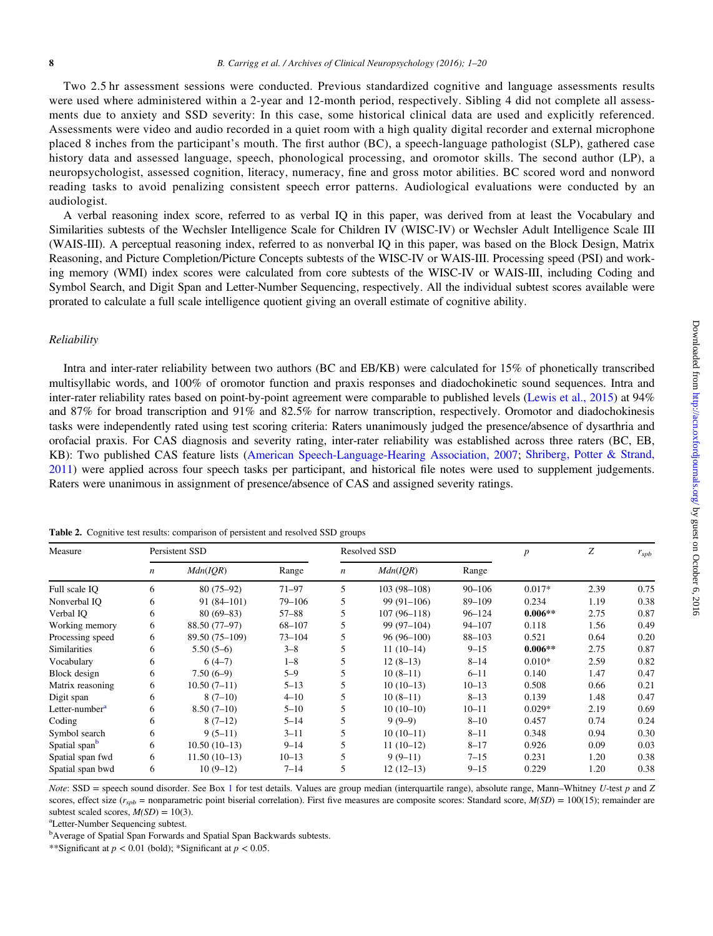<span id="page-7-0"></span>Two 2.5 hr assessment sessions were conducted. Previous standardized cognitive and language assessments results were used where administered within a 2-year and 12-month period, respectively. Sibling 4 did not complete all assessments due to anxiety and SSD severity: In this case, some historical clinical data are used and explicitly referenced. Assessments were video and audio recorded in a quiet room with a high quality digital recorder and external microphone placed 8 inches from the participant's mouth. The first author (BC), a speech-language pathologist (SLP), gathered case history data and assessed language, speech, phonological processing, and oromotor skills. The second author (LP), a neuropsychologist, assessed cognition, literacy, numeracy, fine and gross motor abilities. BC scored word and nonword reading tasks to avoid penalizing consistent speech error patterns. Audiological evaluations were conducted by an audiologist.

A verbal reasoning index score, referred to as verbal IQ in this paper, was derived from at least the Vocabulary and Similarities subtests of the Wechsler Intelligence Scale for Children IV (WISC-IV) or Wechsler Adult Intelligence Scale III (WAIS-III). A perceptual reasoning index, referred to as nonverbal IQ in this paper, was based on the Block Design, Matrix Reasoning, and Picture Completion/Picture Concepts subtests of the WISC-IV or WAIS-III. Processing speed (PSI) and working memory (WMI) index scores were calculated from core subtests of the WISC-IV or WAIS-III, including Coding and Symbol Search, and Digit Span and Letter-Number Sequencing, respectively. All the individual subtest scores available were prorated to calculate a full scale intelligence quotient giving an overall estimate of cognitive ability.

#### Reliability

Intra and inter-rater reliability between two authors (BC and EB/KB) were calculated for 15% of phonetically transcribed multisyllabic words, and 100% of oromotor function and praxis responses and diadochokinetic sound sequences. Intra and inter-rater reliability rates based on point-by-point agreement were comparable to published levels ([Lewis et al., 2015\)](#page-18-0) at 94% and 87% for broad transcription and 91% and 82.5% for narrow transcription, respectively. Oromotor and diadochokinesis tasks were independently rated using test scoring criteria: Raters unanimously judged the presence/absence of dysarthria and orofacial praxis. For CAS diagnosis and severity rating, inter-rater reliability was established across three raters (BC, EB, KB): Two published CAS feature lists ([American Speech-Language-Hearing Association, 2007;](#page-17-0) [Shriberg, Potter & Strand,](#page-19-0) [2011](#page-19-0)) were applied across four speech tasks per participant, and historical file notes were used to supplement judgements. Raters were unanimous in assignment of presence/absence of CAS and assigned severity ratings.

| Measure                    |                  | Persistent SSD |            |   | Resolved SSD    | $\boldsymbol{p}$ | Ζ         | $r_{spb}$ |      |
|----------------------------|------------------|----------------|------------|---|-----------------|------------------|-----------|-----------|------|
|                            | $\boldsymbol{n}$ | Mdn(IQR)       | Range      | n | Mdn(IQR)        | Range            |           |           |      |
| Full scale IQ              | 6                | $80(75-92)$    | $71 - 97$  | 5 | $103(98-108)$   | $90 - 106$       | $0.017*$  | 2.39      | 0.75 |
| Nonverbal IO               | 6                | $91(84-101)$   | 79–106     | 5 | $99(91-106)$    | 89-109           | 0.234     | 1.19      | 0.38 |
| Verbal IO                  | 6                | $80(69 - 83)$  | $57 - 88$  | 5 | $107(96 - 118)$ | $96 - 124$       | $0.006**$ | 2.75      | 0.87 |
| Working memory             | 6                | 88.50 (77-97)  | 68-107     | 5 | 99 (97-104)     | $94 - 107$       | 0.118     | 1.56      | 0.49 |
| Processing speed           | 6                | 89.50 (75-109) | $73 - 104$ | 5 | $96(96-100)$    | 88-103           | 0.521     | 0.64      | 0.20 |
| Similarities               | 6                | $5.50(5-6)$    | $3 - 8$    | 5 | $11(10-14)$     | $9 - 15$         | $0.006**$ | 2.75      | 0.87 |
| Vocabulary                 | 6                | $6(4-7)$       | $1 - 8$    | 5 | $12(8-13)$      | $8 - 14$         | $0.010*$  | 2.59      | 0.82 |
| Block design               | 6                | $7.50(6-9)$    | $5 - 9$    | C | $10(8-11)$      | $6 - 11$         | 0.140     | 1.47      | 0.47 |
| Matrix reasoning           | 6                | $10.50(7-11)$  | $5 - 13$   | C | $10(10-13)$     | $10 - 13$        | 0.508     | 0.66      | 0.21 |
| Digit span                 | 6                | $8(7-10)$      | $4 - 10$   | 5 | $10(8-11)$      | $8 - 13$         | 0.139     | 1.48      | 0.47 |
| Letter-number <sup>a</sup> | 6                | $8.50(7-10)$   | $5 - 10$   | 5 | $10(10-10)$     | $10 - 11$        | $0.029*$  | 2.19      | 0.69 |
| Coding                     | 6                | $8(7-12)$      | $5 - 14$   | 5 | $9(9-9)$        | $8 - 10$         | 0.457     | 0.74      | 0.24 |
| Symbol search              | 6                | $9(5-11)$      | $3 - 11$   | 5 | $10(10-11)$     | $8 - 11$         | 0.348     | 0.94      | 0.30 |
| Spatial span <sup>b</sup>  | 6                | $10.50(10-13)$ | $9 - 14$   | 5 | $11(10-12)$     | $8 - 17$         | 0.926     | 0.09      | 0.03 |
| Spatial span fwd           | 6                | $11.50(10-13)$ | $10 - 13$  | 5 | $9(9-11)$       | $7 - 15$         | 0.231     | 1.20      | 0.38 |
| Spatial span bwd           | 6                | $10(9-12)$     | $7 - 14$   | 5 | $12(12-13)$     | $9 - 15$         | 0.229     | 1.20      | 0.38 |

Table 2. Cognitive test results: comparison of persistent and resolved SSD groups

*Note*: SSD = speech sound disorder. See Box [1](#page-6-0) for test details. Values are group median (interquartile range), absolute range, Mann–Whitney U-test p and Z scores, effect size ( $r_{spb}$  = nonparametric point biserial correlation). First five measures are composite scores: Standard score,  $M(SD) = 100(15)$ ; remainder are subtest scaled scores,  $M(SD) = 10(3)$ .

<sup>a</sup>Letter-Number Sequencing subtest.

<sup>b</sup>Average of Spatial Span Forwards and Spatial Span Backwards subtests.

\*\*Significant at  $p < 0.01$  (bold); \*Significant at  $p < 0.05$ .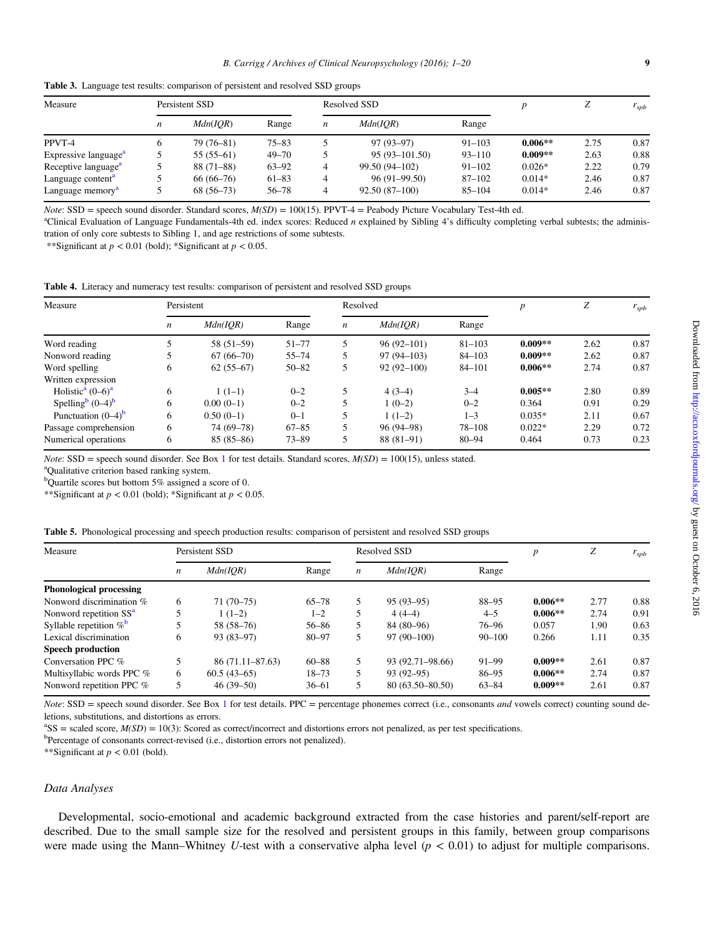<span id="page-8-0"></span>Table 3. Language test results: comparison of persistent and resolved SSD groups

| Measure                          |                  | Persistent SSD |           |                  | Resolved SSD      |            | ∠         | $r_{spb}$ |      |
|----------------------------------|------------------|----------------|-----------|------------------|-------------------|------------|-----------|-----------|------|
|                                  | $\boldsymbol{n}$ | Mdn(IOR)       | Range     | $\boldsymbol{n}$ | Mdn(IOR)          | Range      |           |           |      |
| PPVT-4                           | O                | $79(76-81)$    | $75 - 83$ |                  | $97(93-97)$       | $91 - 103$ | $0.006**$ | 2.75      | 0.87 |
| Expressive language <sup>a</sup> |                  | $55(55-61)$    | $49 - 70$ |                  | $95(93 - 101.50)$ | $93 - 110$ | $0.009**$ | 2.63      | 0.88 |
| Receptive language <sup>a</sup>  |                  | $88(71-88)$    | $63 - 92$ | 4                | 99.50 (94-102)    | $91 - 102$ | $0.026*$  | 2.22      | 0.79 |
| Language content <sup>a</sup>    |                  | $66(66-76)$    | $61 - 83$ | 4                | $96(91-99.50)$    | $87 - 102$ | $0.014*$  | 2.46      | 0.87 |
| Language memory <sup>a</sup>     |                  | $68(56-73)$    | $56 - 78$ | 4                | $92.50(87-100)$   | $85 - 104$ | $0.014*$  | 2.46      | 0.87 |

Note: SSD = speech sound disorder. Standard scores,  $M(SD) = 100(15)$ . PPVT-4 = Peabody Picture Vocabulary Test-4th ed.

<sup>a</sup>Clinical Evaluation of Language Fundamentals-4th ed. index scores: Reduced n explained by Sibling 4's difficulty completing verbal subtests; the administration of only core subtests to Sibling 1, and age restrictions of some subtests.

\*\*Significant at  $p < 0.01$  (bold); \*Significant at  $p < 0.05$ .

Table 4. Literacy and numeracy test results: comparison of persistent and resolved SSD groups

| Measure                                    | Persistent       |             |           | Resolved         |                | D          | Ζ         | $r_{spb}$ |      |
|--------------------------------------------|------------------|-------------|-----------|------------------|----------------|------------|-----------|-----------|------|
|                                            | $\boldsymbol{n}$ | Mdn(IOR)    | Range     | $\boldsymbol{n}$ | Mdn(IOR)       | Range      |           |           |      |
| Word reading                               |                  | 58 (51–59)  | $51 - 77$ |                  | $96(92 - 101)$ | $81 - 103$ | $0.009**$ | 2.62      | 0.87 |
| Nonword reading                            |                  | $67(66-70)$ | $55 - 74$ |                  | $97(94-103)$   | $84 - 103$ | $0.009**$ | 2.62      | 0.87 |
| Word spelling                              | 6                | $62(55-67)$ | $50 - 82$ | 5                | $92(92-100)$   | 84-101     | $0.006**$ | 2.74      | 0.87 |
| Written expression                         |                  |             |           |                  |                |            |           |           |      |
| Holistic <sup>a</sup> $(0-6)^a$            | 6                | $1(1-1)$    | $0 - 2$   |                  | $4(3-4)$       | $3 - 4$    | $0.005**$ | 2.80      | 0.89 |
| Spelling <sup>b</sup> $(0-4)$ <sup>b</sup> | 6                | $0.00(0-1)$ | $0 - 2$   |                  | $1(0-2)$       | $0 - 2$    | 0.364     | 0.91      | 0.29 |
| Punctuation $(0-4)^b$                      | 6                | $0.50(0-1)$ | $0 - 1$   |                  | $1(1-2)$       | $1 - 3$    | $0.035*$  | 2.11      | 0.67 |
| Passage comprehension                      | 6                | 74 (69–78)  | $67 - 85$ |                  | 96 (94-98)     | 78-108     | $0.022*$  | 2.29      | 0.72 |
| Numerical operations                       | 6                | $85(85-86)$ | $73 - 89$ |                  | $88(81-91)$    | $80 - 94$  | 0.464     | 0.73      | 0.23 |

*Note:* SSD = speech sound disorder. See Box [1](#page-6-0) for test details. Standard scores,  $M(SD) = 100(15)$ , unless stated.

Qualitative criterion based ranking system.

<sup>b</sup>Quartile scores but bottom 5% assigned a score of 0.

\*\*Significant at  $p < 0.01$  (bold); \*Significant at  $p < 0.05$ .

|  |  | Table 5. Phonological processing and speech production results: comparison of persistent and resolved SSD groups |  |  |  |  |  |  |  |  |  |
|--|--|------------------------------------------------------------------------------------------------------------------|--|--|--|--|--|--|--|--|--|
|--|--|------------------------------------------------------------------------------------------------------------------|--|--|--|--|--|--|--|--|--|

| Measure                               | Persistent SSD   |                  |           |                  | <b>Resolved SSD</b> |            | Ζ         | $r_{spb}$ |      |
|---------------------------------------|------------------|------------------|-----------|------------------|---------------------|------------|-----------|-----------|------|
|                                       | $\boldsymbol{n}$ | Mdn(IOR)         | Range     | $\boldsymbol{n}$ | Mdn(IOR)            | Range      |           |           |      |
| <b>Phonological processing</b>        |                  |                  |           |                  |                     |            |           |           |      |
| Nonword discrimination %              | 6                | $71(70-75)$      | $65 - 78$ | 5.               | $95(93-95)$         | 88-95      | $0.006**$ | 2.77      | 0.88 |
| Nonword repetition SS <sup>a</sup>    |                  | $1(1-2)$         | $1 - 2$   |                  | $4(4-4)$            | $4 - 5$    | $0.006**$ | 2.74      | 0.91 |
| Syllable repetition $\%$ <sup>b</sup> |                  | $58(58-76)$      | $56 - 86$ |                  | $84(80-96)$         | 76-96      | 0.057     | 1.90      | 0.63 |
| Lexical discrimination                | <sub>0</sub>     | $93(83-97)$      | $80 - 97$ |                  | $97(90-100)$        | $90 - 100$ | 0.266     | 1.11      | 0.35 |
| <b>Speech production</b>              |                  |                  |           |                  |                     |            |           |           |      |
| Conversation PPC %                    |                  | 86 (71.11-87.63) | $60 - 88$ | 5.               | 93 (92.71-98.66)    | $91 - 99$  | $0.009**$ | 2.61      | 0.87 |
| Multisyllabic words PPC %             | 6                | $60.5(43-65)$    | $18 - 73$ | 5.               | $93(92 - 95)$       | 86-95      | $0.006**$ | 2.74      | 0.87 |
| Nonword repetition PPC %              | 5.               | $46(39-50)$      | $36 - 61$ |                  | 80 (63.50–80.50)    | $63 - 84$  | $0.009**$ | 2.61      | 0.87 |

*Note*:  $SSD$  = speech sound disorder. See Box [1](#page-6-0) for test details. PPC = percentage phonemes correct (i.e., consonants *and* vowels correct) counting sound deletions, substitutions, and distortions as errors.

 ${}^{a}SS$  = scaled score,  $M(SD) = 10(3)$ : Scored as correct/incorrect and distortions errors not penalized, as per test specifications.

<sup>b</sup>Percentage of consonants correct-revised (i.e., distortion errors not penalized).

\*\*Significant at  $p < 0.01$  (bold).

#### Data Analyses

Developmental, socio-emotional and academic background extracted from the case histories and parent/self-report are described. Due to the small sample size for the resolved and persistent groups in this family, between group comparisons were made using the Mann–Whitney U-test with a conservative alpha level  $(p < 0.01)$  to adjust for multiple comparisons.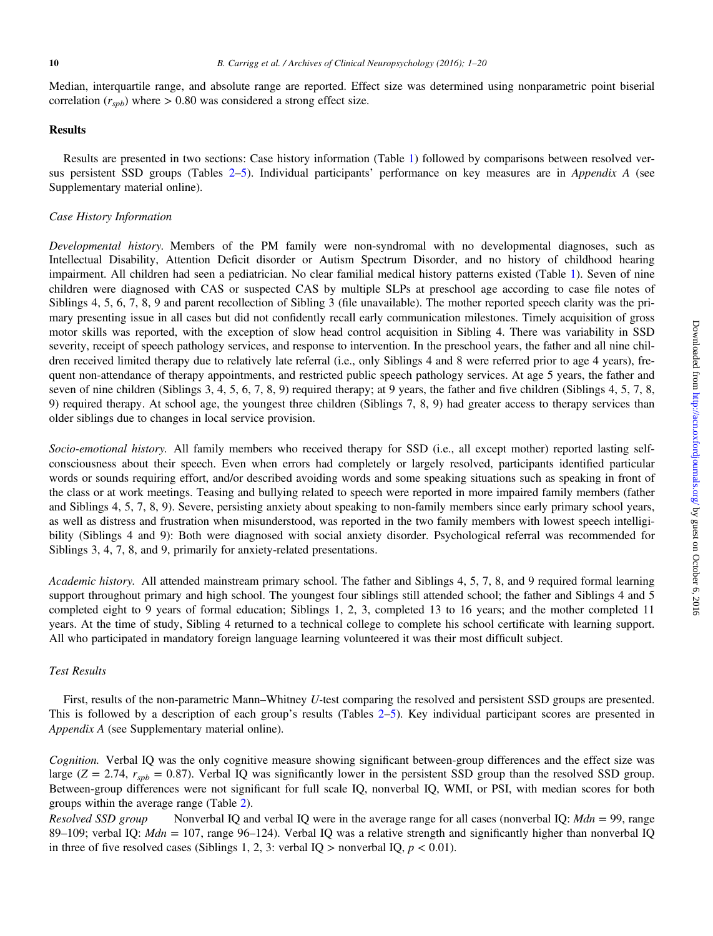Median, interquartile range, and absolute range are reported. Effect size was determined using nonparametric point biserial correlation ( $r_{spb}$ ) where > 0.80 was considered a strong effect size.

# Results

Results are presented in two sections: Case history information (Table [1](#page-5-0)) followed by comparisons between resolved versus persistent SSD groups (Tables [2](#page-7-0)–[5](#page-8-0)). Individual participants' performance on key measures are in Appendix A (see Supplementary material online).

# Case History Information

Developmental history. Members of the PM family were non-syndromal with no developmental diagnoses, such as Intellectual Disability, Attention Deficit disorder or Autism Spectrum Disorder, and no history of childhood hearing impairment. All children had seen a pediatrician. No clear familial medical history patterns existed (Table [1](#page-5-0)). Seven of nine children were diagnosed with CAS or suspected CAS by multiple SLPs at preschool age according to case file notes of Siblings 4, 5, 6, 7, 8, 9 and parent recollection of Sibling 3 (file unavailable). The mother reported speech clarity was the primary presenting issue in all cases but did not confidently recall early communication milestones. Timely acquisition of gross motor skills was reported, with the exception of slow head control acquisition in Sibling 4. There was variability in SSD severity, receipt of speech pathology services, and response to intervention. In the preschool years, the father and all nine children received limited therapy due to relatively late referral (i.e., only Siblings 4 and 8 were referred prior to age 4 years), frequent non-attendance of therapy appointments, and restricted public speech pathology services. At age 5 years, the father and seven of nine children (Siblings 3, 4, 5, 6, 7, 8, 9) required therapy; at 9 years, the father and five children (Siblings 4, 5, 7, 8, 9) required therapy. At school age, the youngest three children (Siblings 7, 8, 9) had greater access to therapy services than older siblings due to changes in local service provision.

Socio-emotional history. All family members who received therapy for SSD (i.e., all except mother) reported lasting selfconsciousness about their speech. Even when errors had completely or largely resolved, participants identified particular words or sounds requiring effort, and/or described avoiding words and some speaking situations such as speaking in front of the class or at work meetings. Teasing and bullying related to speech were reported in more impaired family members (father and Siblings 4, 5, 7, 8, 9). Severe, persisting anxiety about speaking to non-family members since early primary school years, as well as distress and frustration when misunderstood, was reported in the two family members with lowest speech intelligibility (Siblings 4 and 9): Both were diagnosed with social anxiety disorder. Psychological referral was recommended for Siblings 3, 4, 7, 8, and 9, primarily for anxiety-related presentations.

Academic history. All attended mainstream primary school. The father and Siblings 4, 5, 7, 8, and 9 required formal learning support throughout primary and high school. The youngest four siblings still attended school; the father and Siblings 4 and 5 completed eight to 9 years of formal education; Siblings 1, 2, 3, completed 13 to 16 years; and the mother completed 11 years. At the time of study, Sibling 4 returned to a technical college to complete his school certificate with learning support. All who participated in mandatory foreign language learning volunteered it was their most difficult subject.

# Test Results

First, results of the non-parametric Mann–Whitney U-test comparing the resolved and persistent SSD groups are presented. This is followed by a description of each group's results (Tables [2](#page-7-0)–[5](#page-8-0)). Key individual participant scores are presented in Appendix A (see Supplementary material online).

Cognition. Verbal IQ was the only cognitive measure showing significant between-group differences and the effect size was large ( $Z = 2.74$ ,  $r_{spb} = 0.87$ ). Verbal IQ was significantly lower in the persistent SSD group than the resolved SSD group. Between-group differences were not significant for full scale IQ, nonverbal IQ, WMI, or PSI, with median scores for both groups within the average range (Table [2\)](#page-7-0).

Resolved SSD group Nonverbal IQ and verbal IQ were in the average range for all cases (nonverbal IQ:  $Mdn = 99$ , range 89–109; verbal IQ:  $Mdn = 107$ , range 96–124). Verbal IQ was a relative strength and significantly higher than nonverbal IQ in three of five resolved cases (Siblings 1, 2, 3: verbal IQ > nonverbal IQ,  $p < 0.01$ ).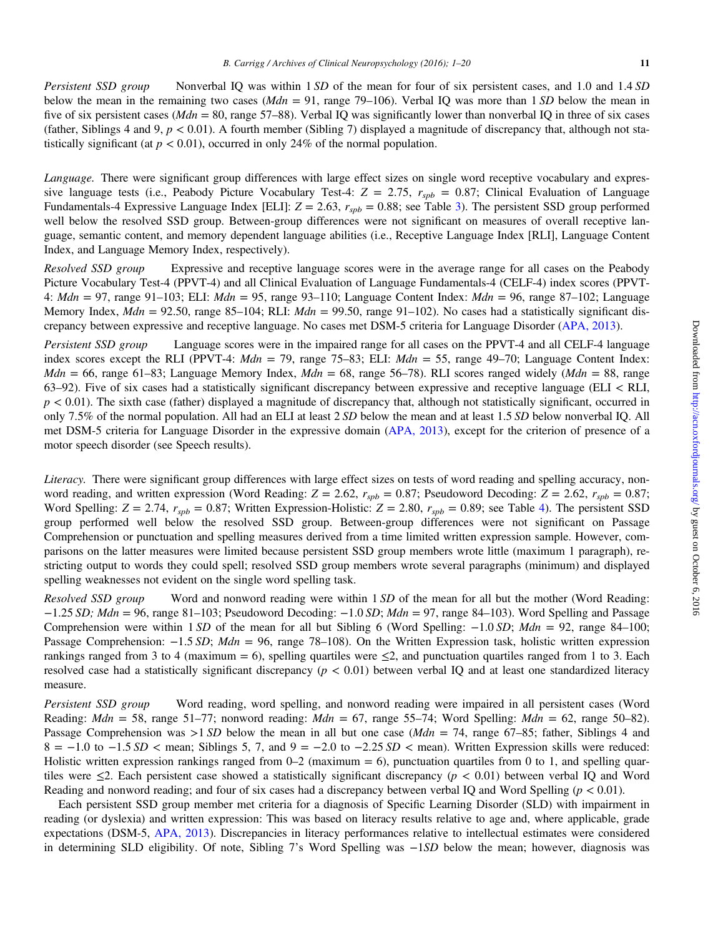Persistent SSD group Nonverbal IQ was within 1 SD of the mean for four of six persistent cases, and 1.0 and 1.4 SD below the mean in the remaining two cases ( $Mdn = 91$ , range 79–106). Verbal IQ was more than 1 SD below the mean in five of six persistent cases ( $Mdn = 80$ , range 57–88). Verbal IQ was significantly lower than nonverbal IQ in three of six cases (father, Siblings 4 and 9,  $p < 0.01$ ). A fourth member (Sibling 7) displayed a magnitude of discrepancy that, although not statistically significant (at  $p < 0.01$ ), occurred in only 24% of the normal population.

Language. There were significant group differences with large effect sizes on single word receptive vocabulary and expressive language tests (i.e., Peabody Picture Vocabulary Test-4:  $Z = 2.75$ ,  $r_{sph} = 0.87$ ; Clinical Evaluation of Language Fundamentals-4 Expressive Language Index [ELI]:  $Z = 2.63$  $Z = 2.63$ ,  $r_{spb} = 0.88$ ; see Table 3). The persistent SSD group performed well below the resolved SSD group. Between-group differences were not significant on measures of overall receptive language, semantic content, and memory dependent language abilities (i.e., Receptive Language Index [RLI], Language Content Index, and Language Memory Index, respectively).

Resolved SSD group Expressive and receptive language scores were in the average range for all cases on the Peabody Picture Vocabulary Test-4 (PPVT-4) and all Clinical Evaluation of Language Fundamentals-4 (CELF-4) index scores (PPVT-4:  $Mdn = 97$ , range 91–103; ELI:  $Mdn = 95$ , range 93–110; Language Content Index:  $Mdn = 96$ , range 87–102; Language Memory Index,  $Mdn = 92.50$ , range 85–104; RLI:  $Mdn = 99.50$ , range 91–102). No cases had a statistically significant discrepancy between expressive and receptive language. No cases met DSM-5 criteria for Language Disorder [\(APA, 2013\)](#page-17-0).

Persistent SSD group Language scores were in the impaired range for all cases on the PPVT-4 and all CELF-4 language index scores except the RLI (PPVT-4:  $Mdn = 79$ , range 75–83; ELI:  $Mdn = 55$ , range 49–70; Language Content Index:  $Mdn = 66$ , range 61–83; Language Memory Index,  $Mdn = 68$ , range 56–78). RLI scores ranged widely ( $Mdn = 88$ , range 63–92). Five of six cases had a statistically significant discrepancy between expressive and receptive language (ELI < RLI,  $p < 0.01$ ). The sixth case (father) displayed a magnitude of discrepancy that, although not statistically significant, occurred in only 7.5% of the normal population. All had an ELI at least 2 SD below the mean and at least 1.5 SD below nonverbal IQ. All met DSM-5 criteria for Language Disorder in the expressive domain ([APA, 2013](#page-17-0)), except for the criterion of presence of a motor speech disorder (see Speech results).

Literacy. There were significant group differences with large effect sizes on tests of word reading and spelling accuracy, nonword reading, and written expression (Word Reading:  $Z = 2.62$ ,  $r_{spb} = 0.87$ ; Pseudoword Decoding:  $Z = 2.62$ ,  $r_{spb} = 0.87$ ; Word Spelling:  $Z = 2.74$  $Z = 2.74$ ,  $r_{spb} = 0.87$ ; Written Expression-Holistic:  $Z = 2.80$ ,  $r_{spb} = 0.89$ ; see Table 4). The persistent SSD group performed well below the resolved SSD group. Between-group differences were not significant on Passage Comprehension or punctuation and spelling measures derived from a time limited written expression sample. However, comparisons on the latter measures were limited because persistent SSD group members wrote little (maximum 1 paragraph), restricting output to words they could spell; resolved SSD group members wrote several paragraphs (minimum) and displayed spelling weaknesses not evident on the single word spelling task.

Resolved SSD group Word and nonword reading were within 1 SD of the mean for all but the mother (Word Reading:  $-1.25$  SD; Mdn = 96, range 81–103; Pseudoword Decoding:  $-1.0$  SD; Mdn = 97, range 84–103). Word Spelling and Passage Comprehension were within 1 SD of the mean for all but Sibling 6 (Word Spelling:  $-1.0$  SD; Mdn = 92, range 84–100; Passage Comprehension: −1.5 SD; Mdn = 96, range 78–108). On the Written Expression task, holistic written expression rankings ranged from 3 to 4 (maximum = 6), spelling quartiles were  $\leq$ 2, and punctuation quartiles ranged from 1 to 3. Each resolved case had a statistically significant discrepancy  $(p < 0.01)$  between verbal IQ and at least one standardized literacy measure.

Persistent SSD group Word reading, word spelling, and nonword reading were impaired in all persistent cases (Word Reading:  $Mdn = 58$ , range 51–77; nonword reading:  $Mdn = 67$ , range 55–74; Word Spelling:  $Mdn = 62$ , range 50–82). Passage Comprehension was  $>1$  SD below the mean in all but one case (*Mdn* = 74, range 67–85; father, Siblings 4 and  $8 = -1.0$  to  $-1.5$  SD < mean; Siblings 5, 7, and  $9 = -2.0$  to  $-2.25$  SD < mean). Written Expression skills were reduced: Holistic written expression rankings ranged from  $0-2$  (maximum = 6), punctuation quartiles from 0 to 1, and spelling quartiles were  $\leq$ 2. Each persistent case showed a statistically significant discrepancy ( $p < 0.01$ ) between verbal IQ and Word Reading and nonword reading; and four of six cases had a discrepancy between verbal IO and Word Spelling ( $p < 0.01$ ).

Each persistent SSD group member met criteria for a diagnosis of Specific Learning Disorder (SLD) with impairment in reading (or dyslexia) and written expression: This was based on literacy results relative to age and, where applicable, grade expectations (DSM-5, [APA, 2013](#page-17-0)). Discrepancies in literacy performances relative to intellectual estimates were considered in determining SLD eligibility. Of note, Sibling 7's Word Spelling was −1SD below the mean; however, diagnosis was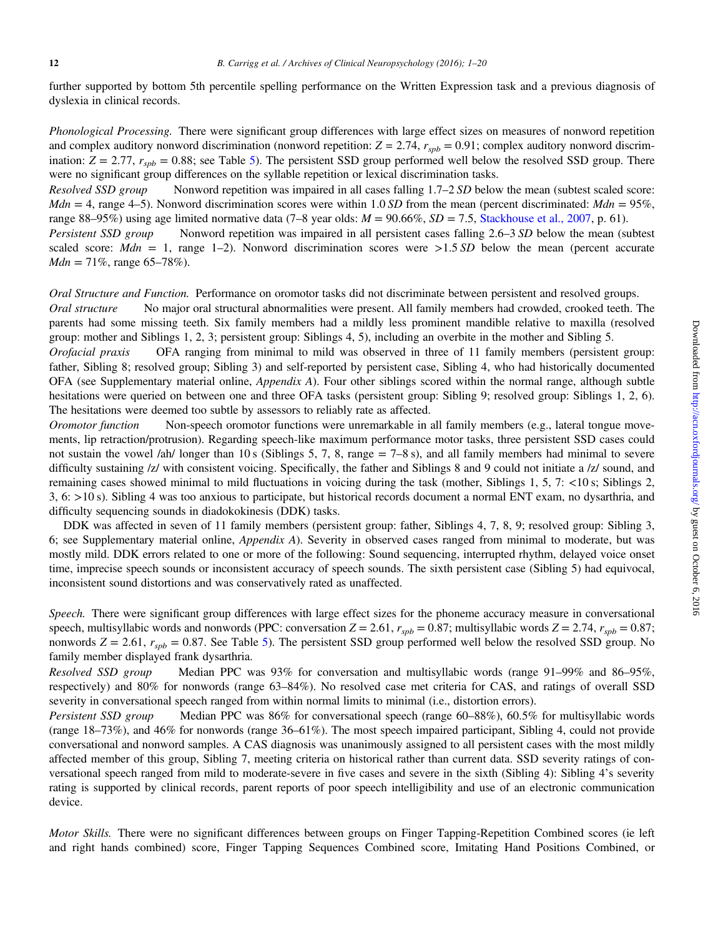further supported by bottom 5th percentile spelling performance on the Written Expression task and a previous diagnosis of dyslexia in clinical records.

Phonological Processing. There were significant group differences with large effect sizes on measures of nonword repetition and complex auditory nonword discrimination (nonword repetition:  $Z = 2.74$ ,  $r_{sph} = 0.91$ ; complex auditory nonword discrimination:  $Z = 2.77$ ,  $r_{spb} = 0.88$ ; see Table [5](#page-8-0)). The persistent SSD group performed well below the resolved SSD group. There were no significant group differences on the syllable repetition or lexical discrimination tasks. Resolved SSD group Nonword repetition was impaired in all cases falling 1.7–2 SD below the mean (subtest scaled score:

 $Mdn = 4$ , range 4–5). Nonword discrimination scores were within 1.0 SD from the mean (percent discriminated:  $Mdn = 95\%$ , range 88–95%) using age limited normative data (7–8 year olds:  $M = 90.66\%$ ,  $SD = 7.5$ , [Stackhouse et al., 2007,](#page-19-0) p. 61).

Persistent SSD group Nonword repetition was impaired in all persistent cases falling 2.6–3 SD below the mean (subtest scaled score:  $Mdn = 1$ , range 1–2). Nonword discrimination scores were >1.5 SD below the mean (percent accurate  $Mdn = 71\%$ , range 65–78%).

# Oral Structure and Function. Performance on oromotor tasks did not discriminate between persistent and resolved groups.

Oral structure No major oral structural abnormalities were present. All family members had crowded, crooked teeth. The parents had some missing teeth. Six family members had a mildly less prominent mandible relative to maxilla (resolved group: mother and Siblings 1, 2, 3; persistent group: Siblings 4, 5), including an overbite in the mother and Sibling 5.

Orofacial praxis OFA ranging from minimal to mild was observed in three of 11 family members (persistent group: father, Sibling 8; resolved group; Sibling 3) and self-reported by persistent case, Sibling 4, who had historically documented OFA (see Supplementary material online, *Appendix A*). Four other siblings scored within the normal range, although subtle hesitations were queried on between one and three OFA tasks (persistent group: Sibling 9; resolved group: Siblings 1, 2, 6). The hesitations were deemed too subtle by assessors to reliably rate as affected.

Oromotor function Non-speech oromotor functions were unremarkable in all family members (e.g., lateral tongue movements, lip retraction/protrusion). Regarding speech-like maximum performance motor tasks, three persistent SSD cases could not sustain the vowel /ah/ longer than 10 s (Siblings 5, 7, 8, range  $= 7-8$  s), and all family members had minimal to severe difficulty sustaining /z/ with consistent voicing. Specifically, the father and Siblings 8 and 9 could not initiate a /z/ sound, and remaining cases showed minimal to mild fluctuations in voicing during the task (mother, Siblings 1, 5, 7: <10 s; Siblings 2, 3, 6: >10 s). Sibling 4 was too anxious to participate, but historical records document a normal ENT exam, no dysarthria, and difficulty sequencing sounds in diadokokinesis (DDK) tasks.

DDK was affected in seven of 11 family members (persistent group: father, Siblings 4, 7, 8, 9; resolved group: Sibling 3, 6; see Supplementary material online, Appendix A). Severity in observed cases ranged from minimal to moderate, but was mostly mild. DDK errors related to one or more of the following: Sound sequencing, interrupted rhythm, delayed voice onset time, imprecise speech sounds or inconsistent accuracy of speech sounds. The sixth persistent case (Sibling 5) had equivocal, inconsistent sound distortions and was conservatively rated as unaffected.

Speech. There were significant group differences with large effect sizes for the phoneme accuracy measure in conversational speech, multisyllabic words and nonwords (PPC: conversation  $Z = 2.61$ ,  $r_{spb} = 0.87$ ; multisyllabic words  $Z = 2.74$ ,  $r_{spb} = 0.87$ ; nonwords  $Z = 2.61$ ,  $r_{spb} = 0.87$ . See Table [5](#page-8-0)). The persistent SSD group performed well below the resolved SSD group. No family member displayed frank dysarthria.

Resolved SSD group Median PPC was 93% for conversation and multisyllabic words (range 91–99% and 86–95%, respectively) and 80% for nonwords (range 63–84%). No resolved case met criteria for CAS, and ratings of overall SSD severity in conversational speech ranged from within normal limits to minimal (i.e., distortion errors).

Persistent SSD group Median PPC was 86% for conversational speech (range 60–88%), 60.5% for multisyllabic words (range 18–73%), and 46% for nonwords (range 36–61%). The most speech impaired participant, Sibling 4, could not provide conversational and nonword samples. A CAS diagnosis was unanimously assigned to all persistent cases with the most mildly affected member of this group, Sibling 7, meeting criteria on historical rather than current data. SSD severity ratings of conversational speech ranged from mild to moderate-severe in five cases and severe in the sixth (Sibling 4): Sibling 4's severity rating is supported by clinical records, parent reports of poor speech intelligibility and use of an electronic communication device.

Motor Skills. There were no significant differences between groups on Finger Tapping-Repetition Combined scores (ie left and right hands combined) score, Finger Tapping Sequences Combined score, Imitating Hand Positions Combined, or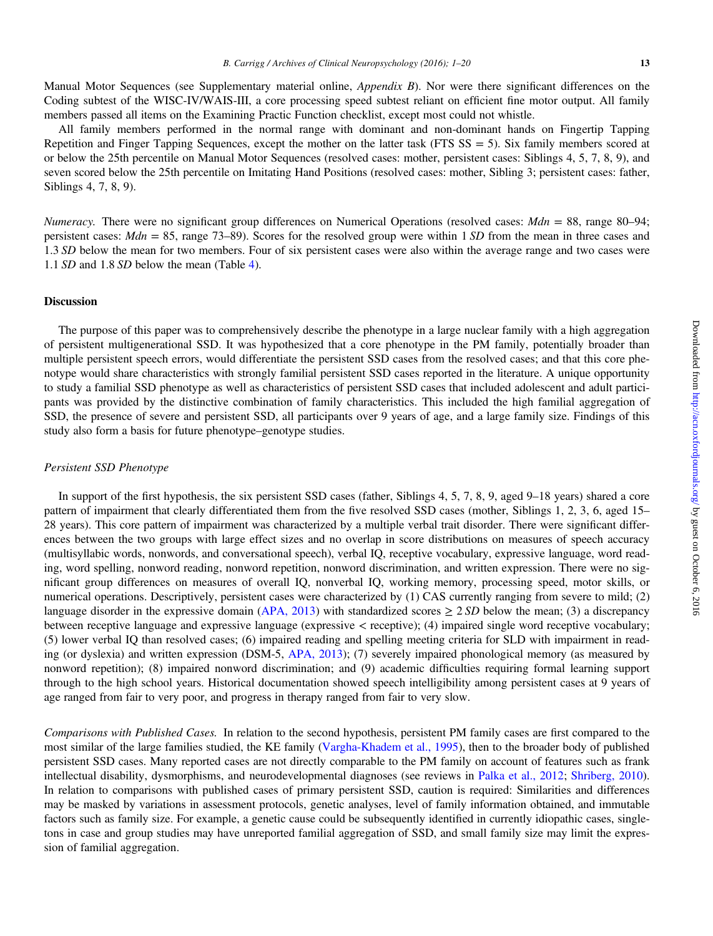Manual Motor Sequences (see Supplementary material online, Appendix B). Nor were there significant differences on the Coding subtest of the WISC-IV/WAIS-III, a core processing speed subtest reliant on efficient fine motor output. All family members passed all items on the Examining Practic Function checklist, except most could not whistle.

All family members performed in the normal range with dominant and non-dominant hands on Fingertip Tapping Repetition and Finger Tapping Sequences, except the mother on the latter task (FTS  $SS = 5$ ). Six family members scored at or below the 25th percentile on Manual Motor Sequences (resolved cases: mother, persistent cases: Siblings 4, 5, 7, 8, 9), and seven scored below the 25th percentile on Imitating Hand Positions (resolved cases: mother, Sibling 3; persistent cases: father, Siblings 4, 7, 8, 9).

Numeracy. There were no significant group differences on Numerical Operations (resolved cases:  $Mdn = 88$ , range 80–94; persistent cases:  $Mdn = 85$ , range 73–89). Scores for the resolved group were within 1 SD from the mean in three cases and 1.3 SD below the mean for two members. Four of six persistent cases were also within the average range and two cases were 1.1 SD and 1.8 SD below the mean (Table [4\)](#page-8-0).

# Discussion

The purpose of this paper was to comprehensively describe the phenotype in a large nuclear family with a high aggregation of persistent multigenerational SSD. It was hypothesized that a core phenotype in the PM family, potentially broader than multiple persistent speech errors, would differentiate the persistent SSD cases from the resolved cases; and that this core phenotype would share characteristics with strongly familial persistent SSD cases reported in the literature. A unique opportunity to study a familial SSD phenotype as well as characteristics of persistent SSD cases that included adolescent and adult participants was provided by the distinctive combination of family characteristics. This included the high familial aggregation of SSD, the presence of severe and persistent SSD, all participants over 9 years of age, and a large family size. Findings of this study also form a basis for future phenotype–genotype studies.

# Persistent SSD Phenotype

In support of the first hypothesis, the six persistent SSD cases (father, Siblings 4, 5, 7, 8, 9, aged 9–18 years) shared a core pattern of impairment that clearly differentiated them from the five resolved SSD cases (mother, Siblings 1, 2, 3, 6, aged 15– 28 years). This core pattern of impairment was characterized by a multiple verbal trait disorder. There were significant differences between the two groups with large effect sizes and no overlap in score distributions on measures of speech accuracy (multisyllabic words, nonwords, and conversational speech), verbal IQ, receptive vocabulary, expressive language, word reading, word spelling, nonword reading, nonword repetition, nonword discrimination, and written expression. There were no significant group differences on measures of overall IQ, nonverbal IQ, working memory, processing speed, motor skills, or numerical operations. Descriptively, persistent cases were characterized by (1) CAS currently ranging from severe to mild; (2) language disorder in the expressive domain [\(APA, 2013\)](#page-17-0) with standardized scores  $\geq$  2 SD below the mean; (3) a discrepancy between receptive language and expressive language (expressive  $\lt$  receptive); (4) impaired single word receptive vocabulary; (5) lower verbal IQ than resolved cases; (6) impaired reading and spelling meeting criteria for SLD with impairment in reading (or dyslexia) and written expression (DSM-5, [APA, 2013](#page-17-0)); (7) severely impaired phonological memory (as measured by nonword repetition); (8) impaired nonword discrimination; and (9) academic difficulties requiring formal learning support through to the high school years. Historical documentation showed speech intelligibility among persistent cases at 9 years of age ranged from fair to very poor, and progress in therapy ranged from fair to very slow.

Comparisons with Published Cases. In relation to the second hypothesis, persistent PM family cases are first compared to the most similar of the large families studied, the KE family [\(Vargha-Khadem et al., 1995](#page-19-0)), then to the broader body of published persistent SSD cases. Many reported cases are not directly comparable to the PM family on account of features such as frank intellectual disability, dysmorphisms, and neurodevelopmental diagnoses (see reviews in [Palka et al., 2012](#page-18-0); [Shriberg, 2010](#page-18-0)). In relation to comparisons with published cases of primary persistent SSD, caution is required: Similarities and differences may be masked by variations in assessment protocols, genetic analyses, level of family information obtained, and immutable factors such as family size. For example, a genetic cause could be subsequently identified in currently idiopathic cases, singletons in case and group studies may have unreported familial aggregation of SSD, and small family size may limit the expression of familial aggregation.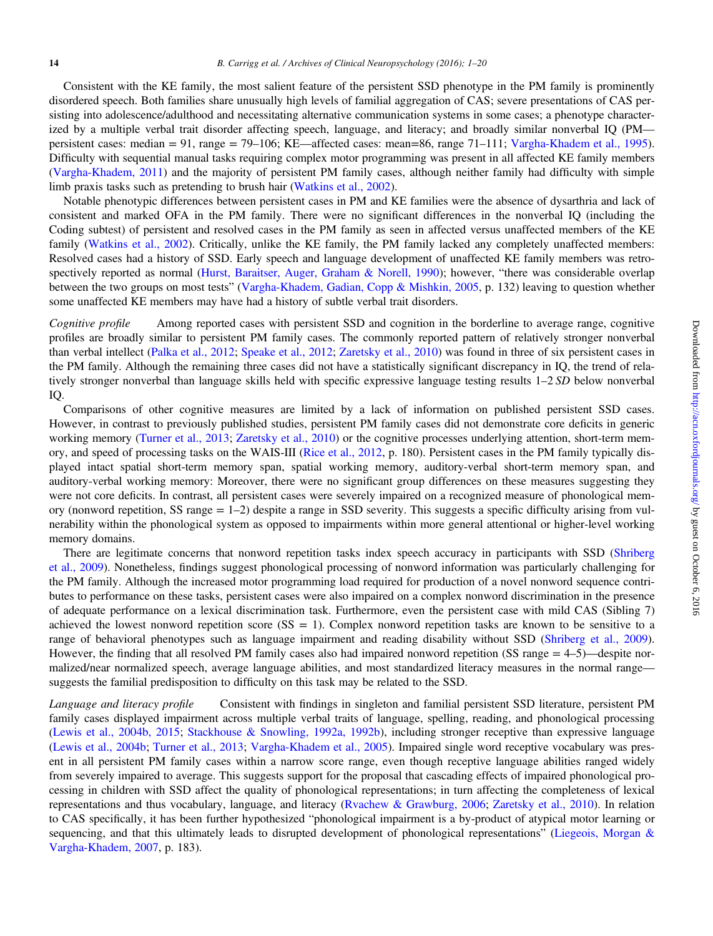Consistent with the KE family, the most salient feature of the persistent SSD phenotype in the PM family is prominently disordered speech. Both families share unusually high levels of familial aggregation of CAS; severe presentations of CAS persisting into adolescence/adulthood and necessitating alternative communication systems in some cases; a phenotype characterized by a multiple verbal trait disorder affecting speech, language, and literacy; and broadly similar nonverbal IQ (PM persistent cases: median = 91, range = 79–106; KE—affected cases: mean=86, range 71–111; [Vargha-Khadem et al., 1995](#page-19-0)). Difficulty with sequential manual tasks requiring complex motor programming was present in all affected KE family members [\(Vargha-Khadem, 2011\)](#page-19-0) and the majority of persistent PM family cases, although neither family had difficulty with simple limb praxis tasks such as pretending to brush hair ([Watkins et al., 2002](#page-19-0)).

Notable phenotypic differences between persistent cases in PM and KE families were the absence of dysarthria and lack of consistent and marked OFA in the PM family. There were no significant differences in the nonverbal IQ (including the Coding subtest) of persistent and resolved cases in the PM family as seen in affected versus unaffected members of the KE family ([Watkins et al., 2002](#page-19-0)). Critically, unlike the KE family, the PM family lacked any completely unaffected members: Resolved cases had a history of SSD. Early speech and language development of unaffected KE family members was retrospectively reported as normal [\(Hurst, Baraitser, Auger, Graham & Norell, 1990\)](#page-17-0); however, "there was considerable overlap between the two groups on most tests" ([Vargha-Khadem, Gadian, Copp & Mishkin, 2005](#page-19-0), p. 132) leaving to question whether some unaffected KE members may have had a history of subtle verbal trait disorders.

Cognitive profile Among reported cases with persistent SSD and cognition in the borderline to average range, cognitive profiles are broadly similar to persistent PM family cases. The commonly reported pattern of relatively stronger nonverbal than verbal intellect [\(Palka et al., 2012;](#page-18-0) [Speake et al., 2012;](#page-19-0) [Zaretsky et al., 2010\)](#page-19-0) was found in three of six persistent cases in the PM family. Although the remaining three cases did not have a statistically significant discrepancy in IQ, the trend of relatively stronger nonverbal than language skills held with specific expressive language testing results 1–2 SD below nonverbal IQ.

Comparisons of other cognitive measures are limited by a lack of information on published persistent SSD cases. However, in contrast to previously published studies, persistent PM family cases did not demonstrate core deficits in generic working memory [\(Turner et al., 2013;](#page-19-0) [Zaretsky et al., 2010](#page-19-0)) or the cognitive processes underlying attention, short-term memory, and speed of processing tasks on the WAIS-III [\(Rice et al., 2012](#page-18-0), p. 180). Persistent cases in the PM family typically displayed intact spatial short-term memory span, spatial working memory, auditory-verbal short-term memory span, and auditory-verbal working memory: Moreover, there were no significant group differences on these measures suggesting they were not core deficits. In contrast, all persistent cases were severely impaired on a recognized measure of phonological memory (nonword repetition, SS range  $= 1-2$ ) despite a range in SSD severity. This suggests a specific difficulty arising from vulnerability within the phonological system as opposed to impairments within more general attentional or higher-level working memory domains.

There are legitimate concerns that nonword repetition tasks index speech accuracy in participants with SSD ([Shriberg](#page-19-0) [et al.,](#page-19-0) 2009). Nonetheless, findings suggest phonological processing of nonword information was particularly challenging for the PM family. Although the increased motor programming load required for production of a novel nonword sequence contributes to performance on these tasks, persistent cases were also impaired on a complex nonword discrimination in the presence of adequate performance on a lexical discrimination task. Furthermore, even the persistent case with mild CAS (Sibling 7) achieved the lowest nonword repetition score ( $SS = 1$ ). Complex nonword repetition tasks are known to be sensitive to a range of behavioral phenotypes such as language impairment and reading disability without SSD [\(Shriberg et al., 2009](#page-19-0)). However, the finding that all resolved PM family cases also had impaired nonword repetition (SS range  $= 4-5$ )—despite normalized/near normalized speech, average language abilities, and most standardized literacy measures in the normal range suggests the familial predisposition to difficulty on this task may be related to the SSD.

Language and literacy profile Consistent with findings in singleton and familial persistent SSD literature, persistent PM family cases displayed impairment across multiple verbal traits of language, spelling, reading, and phonological processing [\(Lewis et al., 2004b, 2015](#page-18-0); [Stackhouse & Snowling, 1992a, 1992b\)](#page-19-0), including stronger receptive than expressive language [\(Lewis et al., 2004b](#page-18-0); [Turner et al., 2013](#page-19-0); [Vargha-Khadem et al., 2005](#page-19-0)). Impaired single word receptive vocabulary was present in all persistent PM family cases within a narrow score range, even though receptive language abilities ranged widely from severely impaired to average. This suggests support for the proposal that cascading effects of impaired phonological processing in children with SSD affect the quality of phonological representations; in turn affecting the completeness of lexical representations and thus vocabulary, language, and literacy ([Rvachew & Grawburg, 2006;](#page-18-0) [Zaretsky et al., 2010](#page-19-0)). In relation to CAS specifically, it has been further hypothesized "phonological impairment is a by-product of atypical motor learning or sequencing, and that this ultimately leads to disrupted development of phonological representations" [\(Liegeois, Morgan &](#page-18-0) [Vargha-Khadem,](#page-18-0) 2007, p. 183).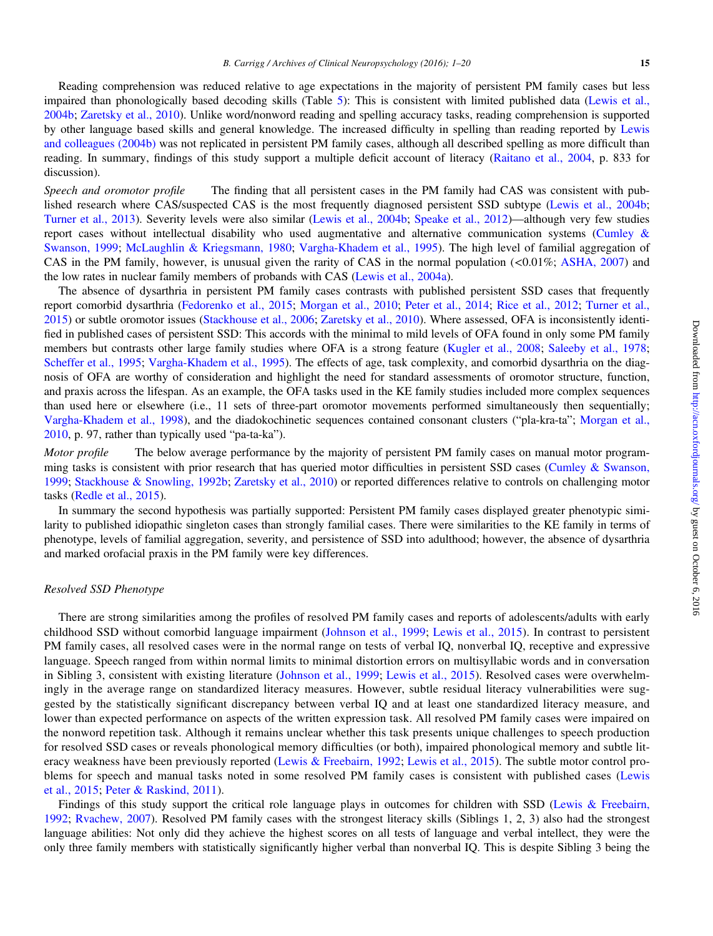Reading comprehension was reduced relative to age expectations in the majority of persistent PM family cases but less impaired than phonologically based decoding skills (Table [5\)](#page-8-0): This is consistent with limited published data ([Lewis et al.,](#page-18-0) [2004b;](#page-18-0) [Zaretsky et al., 2010](#page-19-0)). Unlike word/nonword reading and spelling accuracy tasks, reading comprehension is supported by other language based skills and general knowledge. The increased difficulty in spelling than reading reported by [Lewis](#page-18-0) [and colleagues \(2004b\)](#page-18-0) was not replicated in persistent PM family cases, although all described spelling as more difficult than reading. In summary, findings of this study support a multiple deficit account of literacy [\(Raitano et al., 2004](#page-18-0), p. 833 for discussion).

Speech and oromotor profile The finding that all persistent cases in the PM family had CAS was consistent with published research where CAS/suspected CAS is the most frequently diagnosed persistent SSD subtype [\(Lewis et al., 2004b](#page-18-0); [Turner et al., 2013](#page-19-0)). Severity levels were also similar [\(Lewis et al., 2004b](#page-18-0); [Speake et al., 2012](#page-19-0))—although very few studies report cases without intellectual disability who used augmentative and alternative communication systems [\(Cumley &](#page-17-0) [Swanson,](#page-17-0) 1999; [McLaughlin & Kriegsmann, 1980;](#page-18-0) [Vargha-Khadem et al., 1995\)](#page-19-0). The high level of familial aggregation of CAS in the PM family, however, is unusual given the rarity of CAS in the normal population  $\langle 0.01\%; ASHA, 2007 \rangle$  and the low rates in nuclear family members of probands with CAS ([Lewis et al., 2004a](#page-18-0)).

The absence of dysarthria in persistent PM family cases contrasts with published persistent SSD cases that frequently report comorbid dysarthria ([Fedorenko et al., 2015](#page-17-0); [Morgan et al., 2010](#page-18-0); [Peter et al., 2014;](#page-18-0) [Rice et al., 2012](#page-18-0); [Turner et al.,](#page-19-0) [2015\)](#page-19-0) or subtle oromotor issues ([Stackhouse et al., 2006;](#page-19-0) [Zaretsky et al., 2010](#page-19-0)). Where assessed, OFA is inconsistently identified in published cases of persistent SSD: This accords with the minimal to mild levels of OFA found in only some PM family members but contrasts other large family studies where OFA is a strong feature ([Kugler et al., 2008;](#page-17-0) [Saleeby et al., 1978](#page-18-0); [Scheffer et al., 1995](#page-18-0); [Vargha-Khadem et al., 1995](#page-19-0)). The effects of age, task complexity, and comorbid dysarthria on the diagnosis of OFA are worthy of consideration and highlight the need for standard assessments of oromotor structure, function, and praxis across the lifespan. As an example, the OFA tasks used in the KE family studies included more complex sequences than used here or elsewhere (i.e., 11 sets of three-part oromotor movements performed simultaneously then sequentially; [Vargha-Khadem et al., 1998](#page-19-0)), and the diadokochinetic sequences contained consonant clusters ("pla-kra-ta"; [Morgan](#page-18-0) et al., [2010,](#page-18-0) p. 97, rather than typically used "pa-ta-ka").

Motor profile The below average performance by the majority of persistent PM family cases on manual motor programming tasks is consistent with prior research that has queried motor difficulties in persistent SSD cases [\(Cumley & Swanson,](#page-17-0) [1999;](#page-17-0) [Stackhouse & Snowling, 1992b](#page-19-0); [Zaretsky et al., 2010\)](#page-19-0) or reported differences relative to controls on challenging motor tasks (Redle [et al., 2015](#page-18-0)).

In summary the second hypothesis was partially supported: Persistent PM family cases displayed greater phenotypic similarity to published idiopathic singleton cases than strongly familial cases. There were similarities to the KE family in terms of phenotype, levels of familial aggregation, severity, and persistence of SSD into adulthood; however, the absence of dysarthria and marked orofacial praxis in the PM family were key differences.

# Resolved SSD Phenotype

There are strong similarities among the profiles of resolved PM family cases and reports of adolescents/adults with early childhood SSD without comorbid language impairment [\(Johnson et al., 1999;](#page-17-0) [Lewis et al., 2015\)](#page-18-0). In contrast to persistent PM family cases, all resolved cases were in the normal range on tests of verbal IQ, nonverbal IQ, receptive and expressive language. Speech ranged from within normal limits to minimal distortion errors on multisyllabic words and in conversation in Sibling 3, consistent with existing literature ([Johnson et al., 1999;](#page-17-0) [Lewis et al., 2015\)](#page-18-0). Resolved cases were overwhelmingly in the average range on standardized literacy measures. However, subtle residual literacy vulnerabilities were suggested by the statistically significant discrepancy between verbal IQ and at least one standardized literacy measure, and lower than expected performance on aspects of the written expression task. All resolved PM family cases were impaired on the nonword repetition task. Although it remains unclear whether this task presents unique challenges to speech production for resolved SSD cases or reveals phonological memory difficulties (or both), impaired phonological memory and subtle literacy weakness have been previously reported [\(Lewis & Freebairn, 1992;](#page-18-0) [Lewis et al., 2015](#page-18-0)). The subtle motor control problems for speech and manual tasks noted in some resolved PM family cases is consistent with published cases [\(Lewis](#page-18-0) [et al.,](#page-18-0) 2015; [Peter & Raskind, 2011\)](#page-18-0).

Findings of this study support the critical role language plays in outcomes for children with SSD [\(Lewis & Freebairn,](#page-18-0) [1992;](#page-18-0) [Rvachew, 2007](#page-18-0)). Resolved PM family cases with the strongest literacy skills (Siblings 1, 2, 3) also had the strongest language abilities: Not only did they achieve the highest scores on all tests of language and verbal intellect, they were the only three family members with statistically significantly higher verbal than nonverbal IQ. This is despite Sibling 3 being the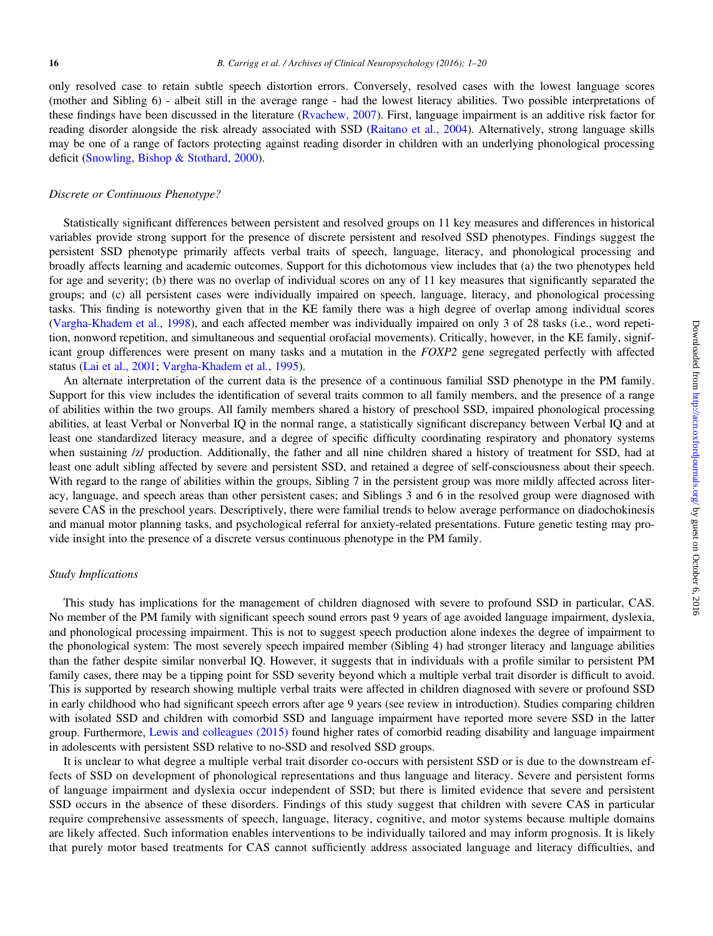only resolved case to retain subtle speech distortion errors. Conversely, resolved cases with the lowest language scores (mother and Sibling 6) - albeit still in the average range - had the lowest literacy abilities. Two possible interpretations of these findings have been discussed in the literature [\(Rvachew, 2007\)](#page-18-0). First, language impairment is an additive risk factor for reading disorder alongside the risk already associated with SSD ([Raitano et al., 2004\)](#page-18-0). Alternatively, strong language skills may be one of a range of factors protecting against reading disorder in children with an underlying phonological processing deficit ([Snowling, Bishop & Stothard, 2000\)](#page-19-0).

# Discrete or Continuous Phenotype?

Statistically significant differences between persistent and resolved groups on 11 key measures and differences in historical variables provide strong support for the presence of discrete persistent and resolved SSD phenotypes. Findings suggest the persistent SSD phenotype primarily affects verbal traits of speech, language, literacy, and phonological processing and broadly affects learning and academic outcomes. Support for this dichotomous view includes that (a) the two phenotypes held for age and severity; (b) there was no overlap of individual scores on any of 11 key measures that significantly separated the groups; and (c) all persistent cases were individually impaired on speech, language, literacy, and phonological processing tasks. This finding is noteworthy given that in the KE family there was a high degree of overlap among individual scores [\(Vargha-Khadem et al., 1998](#page-19-0)), and each affected member was individually impaired on only 3 of 28 tasks (i.e., word repetition, nonword repetition, and simultaneous and sequential orofacial movements). Critically, however, in the KE family, significant group differences were present on many tasks and a mutation in the FOXP2 gene segregated perfectly with affected status ([Lai et al., 2001](#page-17-0); [Vargha-Khadem et al., 1995\)](#page-19-0).

An alternate interpretation of the current data is the presence of a continuous familial SSD phenotype in the PM family. Support for this view includes the identification of several traits common to all family members, and the presence of a range of abilities within the two groups. All family members shared a history of preschool SSD, impaired phonological processing abilities, at least Verbal or Nonverbal IQ in the normal range, a statistically significant discrepancy between Verbal IQ and at least one standardized literacy measure, and a degree of specific difficulty coordinating respiratory and phonatory systems when sustaining /z/ production. Additionally, the father and all nine children shared a history of treatment for SSD, had at least one adult sibling affected by severe and persistent SSD, and retained a degree of self-consciousness about their speech. With regard to the range of abilities within the groups, Sibling 7 in the persistent group was more mildly affected across literacy, language, and speech areas than other persistent cases; and Siblings 3 and 6 in the resolved group were diagnosed with severe CAS in the preschool years. Descriptively, there were familial trends to below average performance on diadochokinesis and manual motor planning tasks, and psychological referral for anxiety-related presentations. Future genetic testing may provide insight into the presence of a discrete versus continuous phenotype in the PM family.

## Study Implications

This study has implications for the management of children diagnosed with severe to profound SSD in particular, CAS. No member of the PM family with significant speech sound errors past 9 years of age avoided language impairment, dyslexia, and phonological processing impairment. This is not to suggest speech production alone indexes the degree of impairment to the phonological system: The most severely speech impaired member (Sibling 4) had stronger literacy and language abilities than the father despite similar nonverbal IQ. However, it suggests that in individuals with a profile similar to persistent PM family cases, there may be a tipping point for SSD severity beyond which a multiple verbal trait disorder is difficult to avoid. This is supported by research showing multiple verbal traits were affected in children diagnosed with severe or profound SSD in early childhood who had significant speech errors after age 9 years (see review in introduction). Studies comparing children with isolated SSD and children with comorbid SSD and language impairment have reported more severe SSD in the latter group. Furthermore, [Lewis and colleagues \(2015\)](#page-18-0) found higher rates of comorbid reading disability and language impairment in adolescents with persistent SSD relative to no-SSD and resolved SSD groups.

It is unclear to what degree a multiple verbal trait disorder co-occurs with persistent SSD or is due to the downstream effects of SSD on development of phonological representations and thus language and literacy. Severe and persistent forms of language impairment and dyslexia occur independent of SSD; but there is limited evidence that severe and persistent SSD occurs in the absence of these disorders. Findings of this study suggest that children with severe CAS in particular require comprehensive assessments of speech, language, literacy, cognitive, and motor systems because multiple domains are likely affected. Such information enables interventions to be individually tailored and may inform prognosis. It is likely that purely motor based treatments for CAS cannot sufficiently address associated language and literacy difficulties, and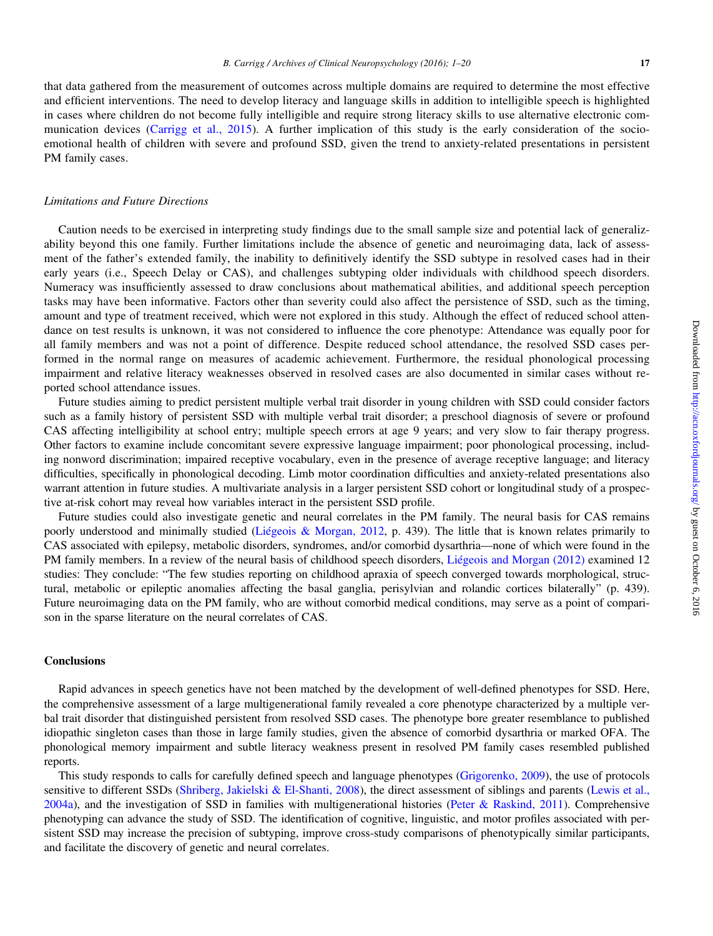that data gathered from the measurement of outcomes across multiple domains are required to determine the most effective and efficient interventions. The need to develop literacy and language skills in addition to intelligible speech is highlighted in cases where children do not become fully intelligible and require strong literacy skills to use alternative electronic communication devices [\(Carrigg et al., 2015\)](#page-17-0). A further implication of this study is the early consideration of the socioemotional health of children with severe and profound SSD, given the trend to anxiety-related presentations in persistent PM family cases.

#### Limitations and Future Directions

Caution needs to be exercised in interpreting study findings due to the small sample size and potential lack of generalizability beyond this one family. Further limitations include the absence of genetic and neuroimaging data, lack of assessment of the father's extended family, the inability to definitively identify the SSD subtype in resolved cases had in their early years (i.e., Speech Delay or CAS), and challenges subtyping older individuals with childhood speech disorders. Numeracy was insufficiently assessed to draw conclusions about mathematical abilities, and additional speech perception tasks may have been informative. Factors other than severity could also affect the persistence of SSD, such as the timing, amount and type of treatment received, which were not explored in this study. Although the effect of reduced school attendance on test results is unknown, it was not considered to influence the core phenotype: Attendance was equally poor for all family members and was not a point of difference. Despite reduced school attendance, the resolved SSD cases performed in the normal range on measures of academic achievement. Furthermore, the residual phonological processing impairment and relative literacy weaknesses observed in resolved cases are also documented in similar cases without reported school attendance issues.

Future studies aiming to predict persistent multiple verbal trait disorder in young children with SSD could consider factors such as a family history of persistent SSD with multiple verbal trait disorder; a preschool diagnosis of severe or profound CAS affecting intelligibility at school entry; multiple speech errors at age 9 years; and very slow to fair therapy progress. Other factors to examine include concomitant severe expressive language impairment; poor phonological processing, including nonword discrimination; impaired receptive vocabulary, even in the presence of average receptive language; and literacy difficulties, specifically in phonological decoding. Limb motor coordination difficulties and anxiety-related presentations also warrant attention in future studies. A multivariate analysis in a larger persistent SSD cohort or longitudinal study of a prospective at-risk cohort may reveal how variables interact in the persistent SSD profile.

Future studies could also investigate genetic and neural correlates in the PM family. The neural basis for CAS remains poorly understood and minimally studied [\(Liégeois & Morgan, 2012,](#page-18-0) p. 439). The little that is known relates primarily to CAS associated with epilepsy, metabolic disorders, syndromes, and/or comorbid dysarthria—none of which were found in the PM family members. In a review of the neural basis of childhood speech disorders, [Liégeois and Morgan \(2012\)](#page-18-0) examined 12 studies: They conclude: "The few studies reporting on childhood apraxia of speech converged towards morphological, structural, metabolic or epileptic anomalies affecting the basal ganglia, perisylvian and rolandic cortices bilaterally" (p. 439). Future neuroimaging data on the PM family, who are without comorbid medical conditions, may serve as a point of comparison in the sparse literature on the neural correlates of CAS.

## **Conclusions**

Rapid advances in speech genetics have not been matched by the development of well-defined phenotypes for SSD. Here, the comprehensive assessment of a large multigenerational family revealed a core phenotype characterized by a multiple verbal trait disorder that distinguished persistent from resolved SSD cases. The phenotype bore greater resemblance to published idiopathic singleton cases than those in large family studies, given the absence of comorbid dysarthria or marked OFA. The phonological memory impairment and subtle literacy weakness present in resolved PM family cases resembled published reports.

This study responds to calls for carefully defined speech and language phenotypes [\(Grigorenko, 2009](#page-17-0)), the use of protocols sensitive to different SSDs [\(Shriberg, Jakielski & El-Shanti, 2008\)](#page-19-0), the direct assessment of siblings and parents ([Lewis et al.,](#page-18-0) [2004a](#page-18-0)), and the investigation of SSD in families with multigenerational histories [\(Peter & Raskind, 2011\)](#page-18-0). Comprehensive phenotyping can advance the study of SSD. The identification of cognitive, linguistic, and motor profiles associated with persistent SSD may increase the precision of subtyping, improve cross-study comparisons of phenotypically similar participants, and facilitate the discovery of genetic and neural correlates.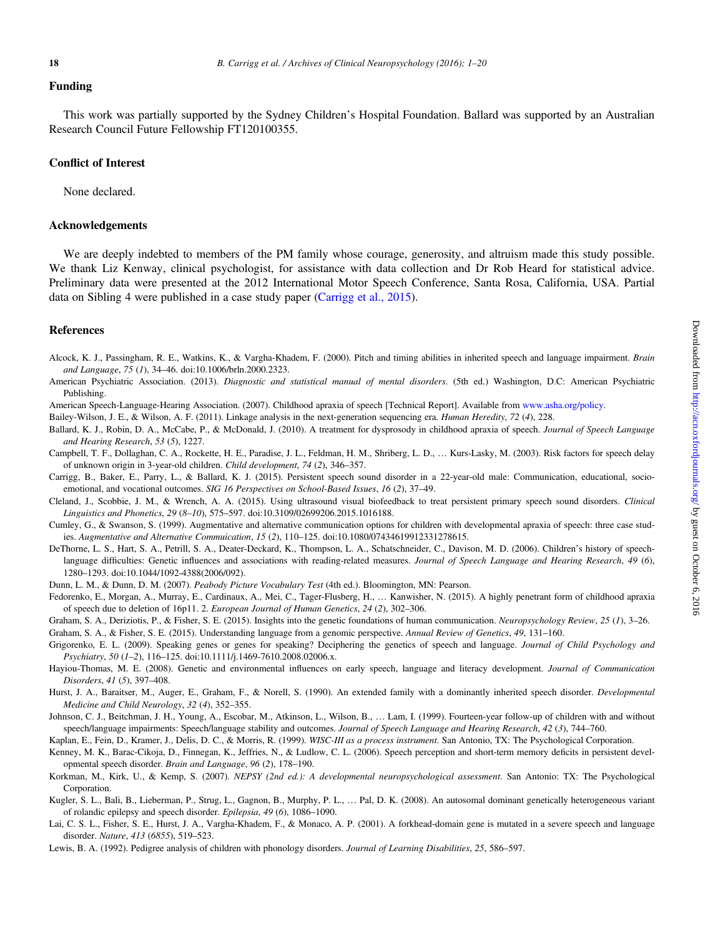## <span id="page-17-0"></span>Funding

This work was partially supported by the Sydney Children's Hospital Foundation. Ballard was supported by an Australian Research Council Future Fellowship FT120100355.

## Conflict of Interest

None declared.

# Acknowledgements

We are deeply indebted to members of the PM family whose courage, generosity, and altruism made this study possible. We thank Liz Kenway, clinical psychologist, for assistance with data collection and Dr Rob Heard for statistical advice. Preliminary data were presented at the 2012 International Motor Speech Conference, Santa Rosa, California, USA. Partial data on Sibling 4 were published in a case study paper (Carrigg et al., 2015).

# References

- Alcock, K. J., Passingham, R. E., Watkins, K., & Vargha-Khadem, F. (2000). Pitch and timing abilities in inherited speech and language impairment. Brain and Language, 75 (1), 34–46. [doi:10.1006/brln.2000.2323](http://dx.doi.org/10.1006/brln.2000.2323).
- American Psychiatric Association. (2013). Diagnostic and statistical manual of mental disorders. (5th ed.) Washington, D.C: American Psychiatric Publishing.
- American Speech-Language-Hearing Association. (2007). Childhood apraxia of speech [Technical Report]. Available from [www.asha.org/policy](http://www.asha.org/policy).
- Bailey-Wilson, J. E., & Wilson, A. F. (2011). Linkage analysis in the next-generation sequencing era. Human Heredity, 72 (4), 228.
- Ballard, K. J., Robin, D. A., McCabe, P., & McDonald, J. (2010). A treatment for dysprosody in childhood apraxia of speech. Journal of Speech Language and Hearing Research, 53 (5), 1227.
- Campbell, T. F., Dollaghan, C. A., Rockette, H. E., Paradise, J. L., Feldman, H. M., Shriberg, L. D., … Kurs‐Lasky, M. (2003). Risk factors for speech delay of unknown origin in 3‐year‐old children. Child development, 74 (2), 346–357.
- Carrigg, B., Baker, E., Parry, L., & Ballard, K. J. (2015). Persistent speech sound disorder in a 22-year-old male: Communication, educational, socioemotional, and vocational outcomes. SIG 16 Perspectives on School-Based Issues, 16 (2), 37–49.
- Cleland, J., Scobbie, J. M., & Wrench, A. A. (2015). Using ultrasound visual biofeedback to treat persistent primary speech sound disorders. Clinical Linguistics and Phonetics, 29 (8–10), 575–597. [doi:10.3109/02699206.2015.1016188](http://dx.doi.org/10.3109/02699206.2015.1016188).
- Cumley, G., & Swanson, S. (1999). Augmentative and alternative communication options for children with developmental apraxia of speech: three case studies. Augmentative and Alternative Commuication, 15 (2), 110–125. [doi:10.1080/07434619912331278615.](http://dx.doi.org/10.1080/07434619912331278615)
- DeThorne, L. S., Hart, S. A., Petrill, S. A., Deater-Deckard, K., Thompson, L. A., Schatschneider, C., Davison, M. D. (2006). Children's history of speechlanguage difficulties: Genetic influences and associations with reading-related measures. Journal of Speech Language and Hearing Research, 49 (6), 1280–1293. [doi:10.1044/1092-4388\(2006/092\)](http://dx.doi.org/10.1044/1092-4388(2006/092)).
- Dunn, L. M., & Dunn, D. M. (2007). Peabody Picture Vocabulary Test (4th ed.). Bloomington, MN: Pearson.
- Fedorenko, E., Morgan, A., Murray, E., Cardinaux, A., Mei, C., Tager-Flusberg, H., … Kanwisher, N. (2015). A highly penetrant form of childhood apraxia of speech due to deletion of 16p11. 2. European Journal of Human Genetics, 24 (2), 302–306.
- Graham, S. A., Deriziotis, P., & Fisher, S. E. (2015). Insights into the genetic foundations of human communication. Neuropsychology Review, 25 (1), 3–26.
- Graham, S. A., & Fisher, S. E. (2015). Understanding language from a genomic perspective. Annual Review of Genetics, 49, 131–160.
- Grigorenko, E. L. (2009). Speaking genes or genes for speaking? Deciphering the genetics of speech and language. Journal of Child Psychology and Psychiatry, 50 (1–2), 116–125. [doi:10.1111/j.1469-7610.2008.02006.x.](http://dx.doi.org/10.1111/j.1469-7610.2008.02006.x)
- Hayiou-Thomas, M. E. (2008). Genetic and environmental influences on early speech, language and literacy development. Journal of Communication Disorders, 41 (5), 397–408.
- Hurst, J. A., Baraitser, M., Auger, E., Graham, F., & Norell, S. (1990). An extended family with a dominantly inherited speech disorder. *Developmental* Medicine and Child Neurology, 32 (4), 352–355.
- Johnson, C. J., Beitchman, J. H., Young, A., Escobar, M., Atkinson, L., Wilson, B., … Lam, I. (1999). Fourteen-year follow-up of children with and without speech/language impairments: Speech/language stability and outcomes. Journal of Speech Language and Hearing Research, 42 (3), 744–760.
- Kaplan, E., Fein, D., Kramer, J., Delis, D. C., & Morris, R. (1999). WISC-III as a process instrument. San Antonio, TX: The Psychological Corporation.
- Kenney, M. K., Barac-Cikoja, D., Finnegan, K., Jeffries, N., & Ludlow, C. L. (2006). Speech perception and short-term memory deficits in persistent developmental speech disorder. Brain and Language, 96 (2), 178–190.
- Korkman, M., Kirk, U., & Kemp, S. (2007). NEPSY (2nd ed.): A developmental neuropsychological assessment. San Antonio: TX: The Psychological Corporation.
- Kugler, S. L., Bali, B., Lieberman, P., Strug, L., Gagnon, B., Murphy, P. L., … Pal, D. K. (2008). An autosomal dominant genetically heterogeneous variant of rolandic epilepsy and speech disorder. Epilepsia, 49 (6), 1086–1090.
- Lai, C. S. L., Fisher, S. E., Hurst, J. A., Vargha-Khadem, F., & Monaco, A. P. (2001). A forkhead-domain gene is mutated in a severe speech and language disorder. Nature, 413 (6855), 519–523.
- Lewis, B. A. (1992). Pedigree analysis of children with phonology disorders. Journal of Learning Disabilities, 25, 586–597.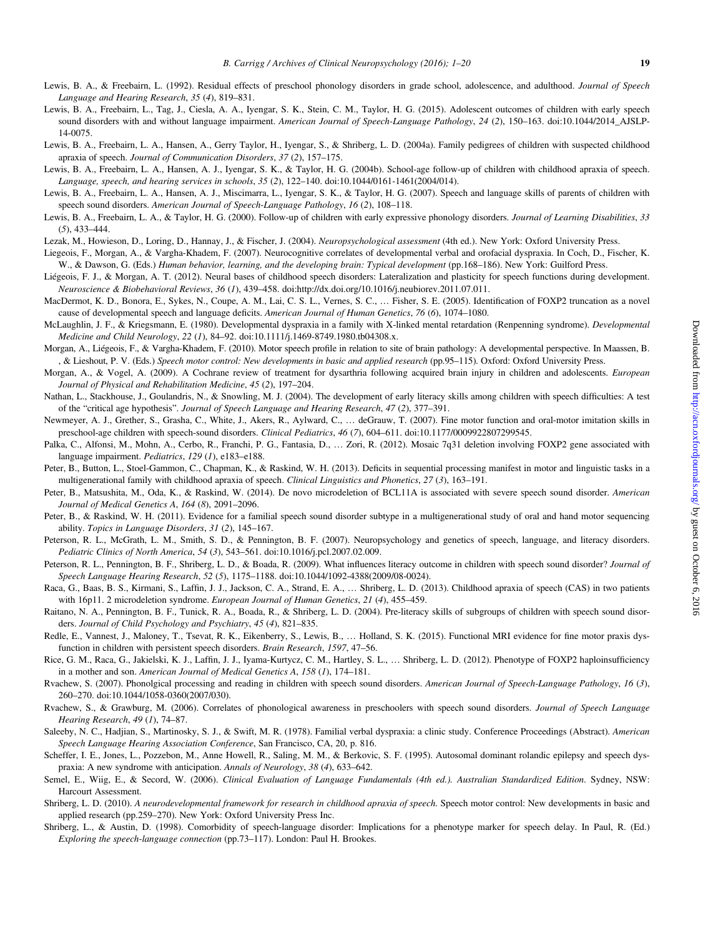- <span id="page-18-0"></span>Lewis, B. A., & Freebairn, L. (1992). Residual effects of preschool phonology disorders in grade school, adolescence, and adulthood. Journal of Speech Language and Hearing Research, 35 (4), 819–831.
- Lewis, B. A., Freebairn, L., Tag, J., Ciesla, A. A., Iyengar, S. K., Stein, C. M., Taylor, H. G. (2015). Adolescent outcomes of children with early speech sound disorders with and without language impairment. American Journal of Speech-Language Pathology, 24 (2), 150–163. doi:10.1044/2014 AJSLP-[14-0075](http://dx.doi.org/10.1044/2014_AJSLP-14-0075).
- Lewis, B. A., Freebairn, L. A., Hansen, A., Gerry Taylor, H., Iyengar, S., & Shriberg, L. D. (2004a). Family pedigrees of children with suspected childhood apraxia of speech. Journal of Communication Disorders, 37 (2), 157–175.
- Lewis, B. A., Freebairn, L. A., Hansen, A. J., Iyengar, S. K., & Taylor, H. G. (2004b). School-age follow-up of children with childhood apraxia of speech. Language, speech, and hearing services in schools, 35 (2), 122–140. [doi:10.1044/0161-1461\(2004/014\)](http://dx.doi.org/10.1044/0161-1461(2004/014)).
- Lewis, B. A., Freebairn, L. A., Hansen, A. J., Miscimarra, L., Iyengar, S. K., & Taylor, H. G. (2007). Speech and language skills of parents of children with speech sound disorders. American Journal of Speech-Language Pathology, 16 (2), 108–118.
- Lewis, B. A., Freebairn, L. A., & Taylor, H. G. (2000). Follow-up of children with early expressive phonology disorders. Journal of Learning Disabilities, 33 (5), 433–444.

Lezak, M., Howieson, D., Loring, D., Hannay, J., & Fischer, J. (2004). Neuropsychological assessment (4th ed.). New York: Oxford University Press.

- Liegeois, F., Morgan, A., & Vargha-Khadem, F. (2007). Neurocognitive correlates of developmental verbal and orofacial dyspraxia. In Coch, D., Fischer, K. W., & Dawson, G. (Eds.) Human behavior, learning, and the developing brain: Typical development (pp.168-186). New York: Guilford Press.
- Liégeois, F. J., & Morgan, A. T. (2012). Neural bases of childhood speech disorders: Lateralization and plasticity for speech functions during development. Neuroscience & Biobehavioral Reviews, 36 (1), 439–458. [doi:http://dx.doi.org/10.1016/j.neubiorev.2011.07.011](http://dx.doi.org/http://dx.doi.org/10.1016/j.neubiorev.2011.07.011).
- MacDermot, K. D., Bonora, E., Sykes, N., Coupe, A. M., Lai, C. S. L., Vernes, S. C., … Fisher, S. E. (2005). Identification of FOXP2 truncation as a novel cause of developmental speech and language deficits. American Journal of Human Genetics, 76 (6), 1074–1080.
- McLaughlin, J. F., & Kriegsmann, E. (1980). Developmental dyspraxia in a family with X-linked mental retardation (Renpenning syndrome). Developmental Medicine and Child Neurology, 22 (1), 84–92. [doi:10.1111/j.1469-8749.1980.tb04308.x.](http://dx.doi.org/10.1111/j.1469-8749.1980.tb04308.x)
- Morgan, A., Liégeois, F., & Vargha-Khadem, F. (2010). Motor speech profile in relation to site of brain pathology: A developmental perspective. In Maassen, B. , & Lieshout, P. V. (Eds.) Speech motor control: New developments in basic and applied research (pp.95–115). Oxford: Oxford University Press.
- Morgan, A., & Vogel, A. (2009). A Cochrane review of treatment for dysarthria following acquired brain injury in children and adolescents. European Journal of Physical and Rehabilitation Medicine, 45 (2), 197–204.
- Nathan, L., Stackhouse, J., Goulandris, N., & Snowling, M. J. (2004). The development of early literacy skills among children with speech difficulties: A test of the "critical age hypothesis". Journal of Speech Language and Hearing Research, 47 (2), 377–391.
- Newmeyer, A. J., Grether, S., Grasha, C., White, J., Akers, R., Aylward, C., … deGrauw, T. (2007). Fine motor function and oral-motor imitation skills in preschool-age children with speech-sound disorders. Clinical Pediatrics, 46 (7), 604–611. [doi:10.1177/0009922807299545](http://dx.doi.org/10.1177/0009922807299545).
- Palka, C., Alfonsi, M., Mohn, A., Cerbo, R., Franchi, P. G., Fantasia, D., ... Zori, R. (2012). Mosaic 7q31 deletion involving FOXP2 gene associated with language impairment. Pediatrics, 129 (1), e183–e188.
- Peter, B., Button, L., Stoel-Gammon, C., Chapman, K., & Raskind, W. H. (2013). Deficits in sequential processing manifest in motor and linguistic tasks in a multigenerational family with childhood apraxia of speech. Clinical Linguistics and Phonetics, 27 (3), 163–191.
- Peter, B., Matsushita, M., Oda, K., & Raskind, W. (2014). De novo microdeletion of BCL11A is associated with severe speech sound disorder. American Journal of Medical Genetics A, 164 (8), 2091–2096.
- Peter, B., & Raskind, W. H. (2011). Evidence for a familial speech sound disorder subtype in a multigenerational study of oral and hand motor sequencing ability. Topics in Language Disorders, 31 (2), 145–167.
- Peterson, R. L., McGrath, L. M., Smith, S. D., & Pennington, B. F. (2007). Neuropsychology and genetics of speech, language, and literacy disorders. Pediatric Clinics of North America, 54 (3), 543–561. [doi:10.1016/j.pcl.2007.02.009.](http://dx.doi.org/10.1016/j.pcl.2007.02.009)
- Peterson, R. L., Pennington, B. F., Shriberg, L. D., & Boada, R. (2009). What influences literacy outcome in children with speech sound disorder? Journal of Speech Language Hearing Research, 52 (5), 1175–1188. [doi:10.1044/1092-4388\(2009/08-0024\)](http://dx.doi.org/10.1044/1092-4388(2009/08-0024)).
- Raca, G., Baas, B. S., Kirmani, S., Laffin, J. J., Jackson, C. A., Strand, E. A., … Shriberg, L. D. (2013). Childhood apraxia of speech (CAS) in two patients with 16p11. 2 microdeletion syndrome. European Journal of Human Genetics, 21 (4), 455–459.
- Raitano, N. A., Pennington, B. F., Tunick, R. A., Boada, R., & Shriberg, L. D. (2004). Pre-literacy skills of subgroups of children with speech sound disorders. Journal of Child Psychology and Psychiatry, 45 (4), 821–835.
- Redle, E., Vannest, J., Maloney, T., Tsevat, R. K., Eikenberry, S., Lewis, B., … Holland, S. K. (2015). Functional MRI evidence for fine motor praxis dysfunction in children with persistent speech disorders. Brain Research, 1597, 47–56.
- Rice, G. M., Raca, G., Jakielski, K. J., Laffin, J. J., Iyama‐Kurtycz, C. M., Hartley, S. L., … Shriberg, L. D. (2012). Phenotype of FOXP2 haploinsufficiency in a mother and son. American Journal of Medical Genetics A, 158 (1), 174-181.
- Rvachew, S. (2007). Phonolgical processing and reading in children with speech sound disorders. American Journal of Speech-Language Pathology, 16 (3), 260–270. [doi:10.1044/1058-0360\(2007/030\)](http://dx.doi.org/10.1044/1058-0360(2007/030)).
- Rvachew, S., & Grawburg, M. (2006). Correlates of phonological awareness in preschoolers with speech sound disorders. Journal of Speech Language Hearing Research, 49 (1), 74–87.
- Saleeby, N. C., Hadjian, S., Martinosky, S. J., & Swift, M. R. (1978). Familial verbal dyspraxia: a clinic study. Conference Proceedings (Abstract). American Speech Language Hearing Association Conference, San Francisco, CA, 20, p. 816.
- Scheffer, I. E., Jones, L., Pozzebon, M., Anne Howell, R., Saling, M. M., & Berkovic, S. F. (1995). Autosomal dominant rolandic epilepsy and speech dyspraxia: A new syndrome with anticipation. Annals of Neurology, 38 (4), 633–642.
- Semel, E., Wiig, E., & Secord, W. (2006). Clinical Evaluation of Language Fundamentals (4th ed.). Australian Standardized Edition. Sydney, NSW: Harcourt Assessment.
- Shriberg, L. D. (2010). A neurodevelopmental framework for research in childhood apraxia of speech. Speech motor control: New developments in basic and applied research (pp.259–270). New York: Oxford University Press Inc.
- Shriberg, L., & Austin, D. (1998). Comorbidity of speech-language disorder: Implications for a phenotype marker for speech delay. In Paul, R. (Ed.) Exploring the speech-language connection (pp.73–117). London: Paul H. Brookes.